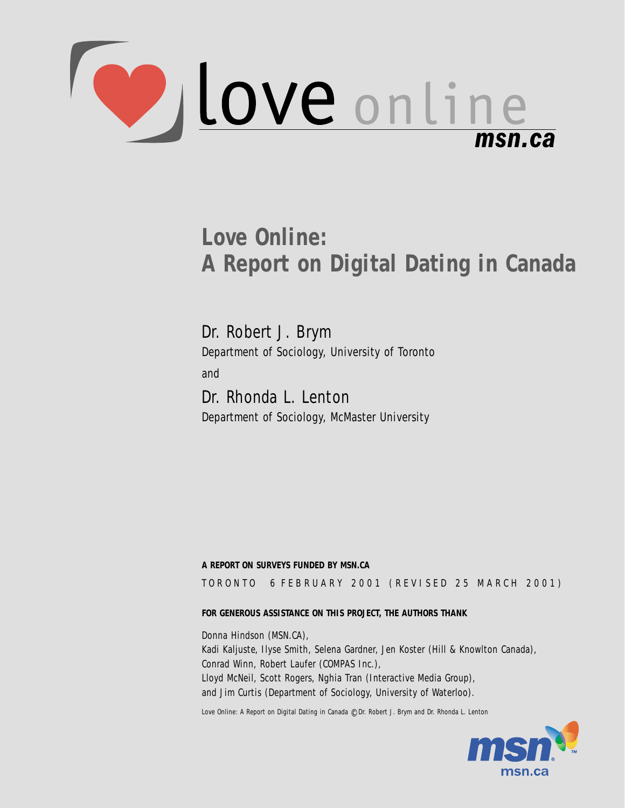

# **Love Online: A Report on Digital Dating in Canada**

Dr. Robert J. Brym Department of Sociology, University of Toronto and Dr. Rhonda L. Lenton

Department of Sociology, McMaster University

#### **A REPORT ON SURVEYS FUNDED BY MSN.CA**

TORONTO 6 FEBRUARY 2001 (REVISED 25 MARCH 2001)

#### **FOR GENEROUS ASSISTANCE ON THIS PROJECT, THE AUTHORS THANK**

Donna Hindson (MSN.CA), Kadi Kaljuste, Ilyse Smith, Selena Gardner, Jen Koster (Hill & Knowlton Canada), Conrad Winn, Robert Laufer (COMPAS Inc.), Lloyd McNeil, Scott Rogers, Nghia Tran (Interactive Media Group), and Jim Curtis (Department of Sociology, University of Waterloo).

Love Online: A Report on Digital Dating in Canada © Dr. Robert J. Brym and Dr. Rhonda L. Lenton

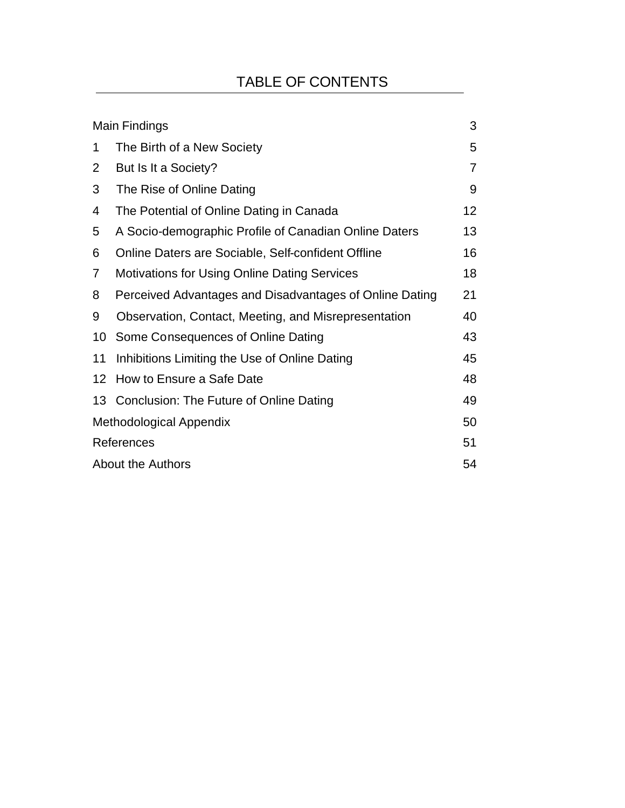## TABLE OF CONTENTS

|                                | Main Findings                                           | 3              |
|--------------------------------|---------------------------------------------------------|----------------|
| 1                              | The Birth of a New Society                              | 5              |
| 2                              | But Is It a Society?                                    | $\overline{7}$ |
| 3                              | The Rise of Online Dating                               | 9              |
| 4                              | The Potential of Online Dating in Canada                | 12             |
| 5                              | A Socio-demographic Profile of Canadian Online Daters   | 13             |
| 6                              | Online Daters are Sociable, Self-confident Offline      | 16             |
| 7                              | <b>Motivations for Using Online Dating Services</b>     | 18             |
| 8                              | Perceived Advantages and Disadvantages of Online Dating | 21             |
| 9                              | Observation, Contact, Meeting, and Misrepresentation    | 40             |
| 10                             | Some Consequences of Online Dating                      | 43             |
| 11                             | Inhibitions Limiting the Use of Online Dating           | 45             |
| 12                             | How to Ensure a Safe Date                               | 48             |
|                                | 13 Conclusion: The Future of Online Dating              | 49             |
| <b>Methodological Appendix</b> |                                                         |                |
| References                     |                                                         |                |
| <b>About the Authors</b>       |                                                         |                |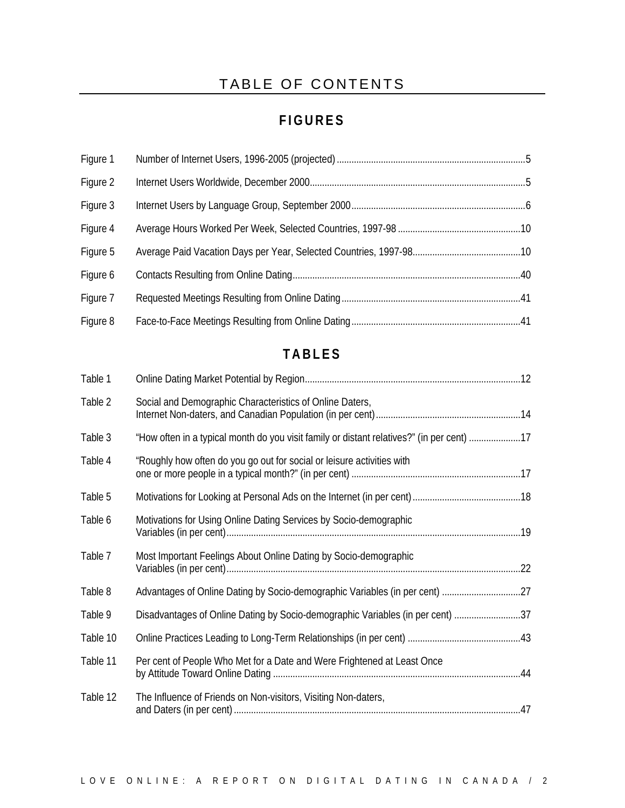### TABLE OF CONTENTS

### **FIGURES**

| Figure 1 |  |
|----------|--|
| Figure 2 |  |
| Figure 3 |  |
| Figure 4 |  |
| Figure 5 |  |
| Figure 6 |  |
| Figure 7 |  |
| Figure 8 |  |

### **TABLES**

| Table 1  |                                                                                           |  |
|----------|-------------------------------------------------------------------------------------------|--|
| Table 2  | Social and Demographic Characteristics of Online Daters,                                  |  |
| Table 3  | "How often in a typical month do you visit family or distant relatives?" (in per cent) 17 |  |
| Table 4  | "Roughly how often do you go out for social or leisure activities with                    |  |
| Table 5  |                                                                                           |  |
| Table 6  | Motivations for Using Online Dating Services by Socio-demographic                         |  |
| Table 7  | Most Important Feelings About Online Dating by Socio-demographic                          |  |
| Table 8  |                                                                                           |  |
| Table 9  | Disadvantages of Online Dating by Socio-demographic Variables (in per cent) 37            |  |
| Table 10 |                                                                                           |  |
| Table 11 | Per cent of People Who Met for a Date and Were Frightened at Least Once                   |  |
| Table 12 | The Influence of Friends on Non-visitors, Visiting Non-daters,                            |  |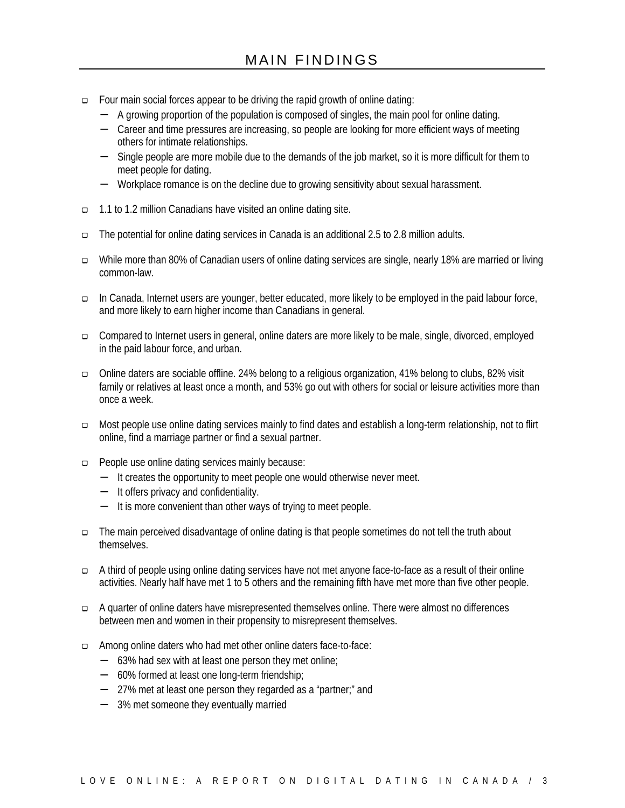- æ Four main social forces appear to be driving the rapid growth of online dating:
	- − A growing proportion of the population is composed of singles, the main pool for online dating.
	- − Career and time pressures are increasing, so people are looking for more efficient ways of meeting others for intimate relationships.
	- − Single people are more mobile due to the demands of the job market, so it is more difficult for them to meet people for dating.
	- − Workplace romance is on the decline due to growing sensitivity about sexual harassment.
- æ 1.1 to 1.2 million Canadians have visited an online dating site.
- æ The potential for online dating services in Canada is an additional 2.5 to 2.8 million adults.
- æ While more than 80% of Canadian users of online dating services are single, nearly 18% are married or living common-law.
- æ In Canada, Internet users are younger, better educated, more likely to be employed in the paid labour force, and more likely to earn higher income than Canadians in general.
- □ Compared to Internet users in general, online daters are more likely to be male, single, divorced, employed in the paid labour force, and urban.
- æ Online daters are sociable offline. 24% belong to a religious organization, 41% belong to clubs, 82% visit family or relatives at least once a month, and 53% go out with others for social or leisure activities more than once a week.
- æ Most people use online dating services mainly to find dates and establish a long-term relationship, not to flirt online, find a marriage partner or find a sexual partner.
- æ People use online dating services mainly because:
	- − It creates the opportunity to meet people one would otherwise never meet.
	- − It offers privacy and confidentiality.
	- − It is more convenient than other ways of trying to meet people.
- æ The main perceived disadvantage of online dating is that people sometimes do not tell the truth about themselves.
- æ A third of people using online dating services have not met anyone face-to-face as a result of their online activities. Nearly half have met 1 to 5 others and the remaining fifth have met more than five other people.
- æ A quarter of online daters have misrepresented themselves online. There were almost no differences between men and women in their propensity to misrepresent themselves.
- æ Among online daters who had met other online daters face-to-face:
	- − 63% had sex with at least one person they met online;
	- − 60% formed at least one long-term friendship;
	- − 27% met at least one person they regarded as a "partner;" and
	- − 3% met someone they eventually married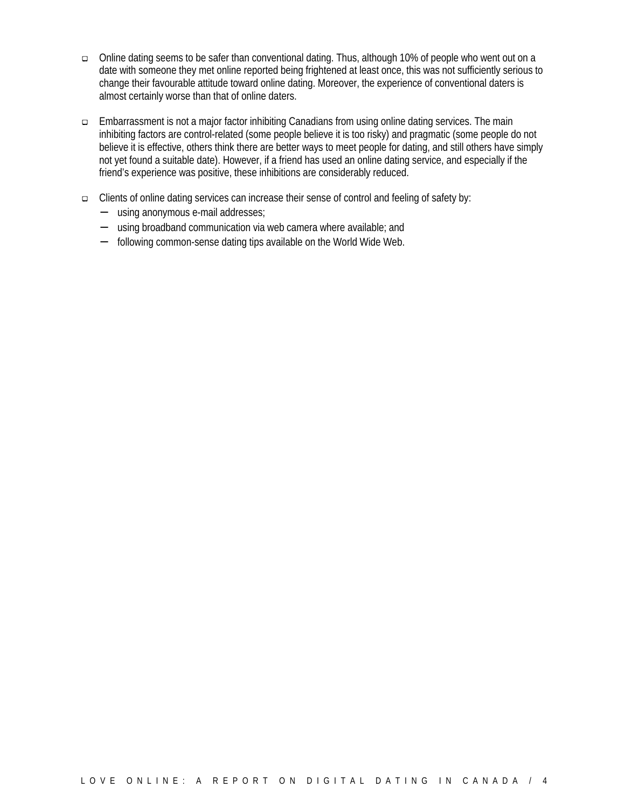- æ Online dating seems to be safer than conventional dating. Thus, although 10% of people who went out on a date with someone they met online reported being frightened at least once, this was not sufficiently serious to change their favourable attitude toward online dating. Moreover, the experience of conventional daters is almost certainly worse than that of online daters.
- æ Embarrassment is not a major factor inhibiting Canadians from using online dating services. The main inhibiting factors are control-related (some people believe it is too risky) and pragmatic (some people do not believe it is effective, others think there are better ways to meet people for dating, and still others have simply not yet found a suitable date). However, if a friend has used an online dating service, and especially if the friend's experience was positive, these inhibitions are considerably reduced.
- æ Clients of online dating services can increase their sense of control and feeling of safety by:
	- − using anonymous e-mail addresses;
	- − using broadband communication via web camera where available; and
	- − following common-sense dating tips available on the World Wide Web.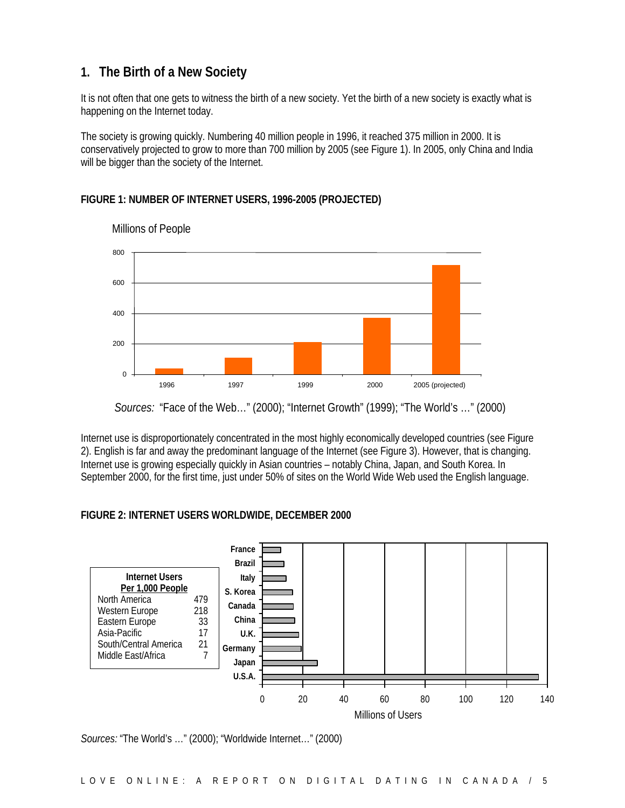### **1. The Birth of a New Society**

It is not often that one gets to witness the birth of a new society. Yet the birth of a new society is exactly what is happening on the Internet today.

The society is growing quickly. Numbering 40 million people in 1996, it reached 375 million in 2000. It is conservatively projected to grow to more than 700 million by 2005 (see Figure 1). In 2005, only China and India will be bigger than the society of the Internet.

#### **FIGURE 1: NUMBER OF INTERNET USERS, 1996-2005 (PROJECTED)**



Millions of People

Internet use is disproportionately concentrated in the most highly economically developed countries (see Figure 2). English is far and away the predominant language of the Internet (see Figure 3). However, that is changing. Internet use is growing especially quickly in Asian countries – notably China, Japan, and South Korea. In September 2000, for the first time, just under 50% of sites on the World Wide Web used the English language.

#### **FIGURE 2: INTERNET USERS WORLDWIDE, DECEMBER 2000**



*Sources:* "The World's …" (2000); "Worldwide Internet…" (2000)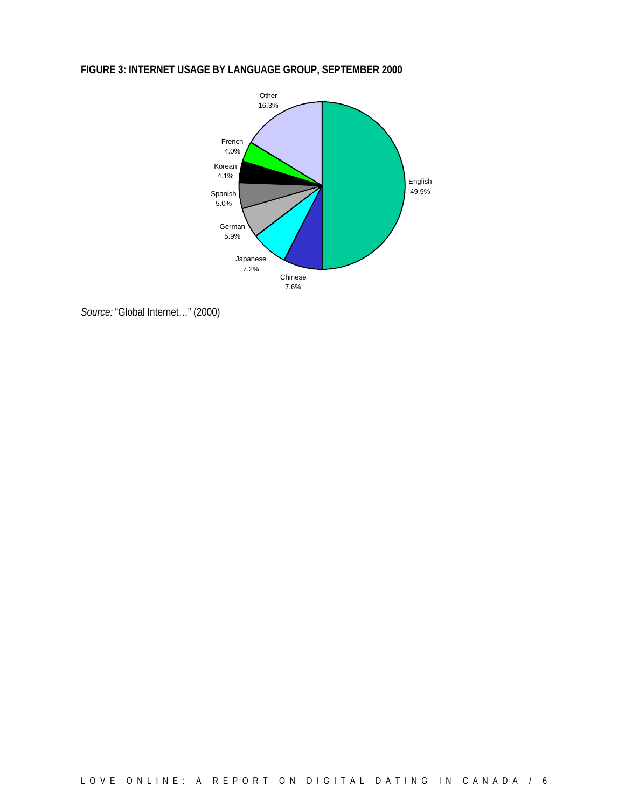### **FIGURE 3: INTERNET USAGE BY LANGUAGE GROUP, SEPTEMBER 2000**



*Source:* "Global Internet…" (2000)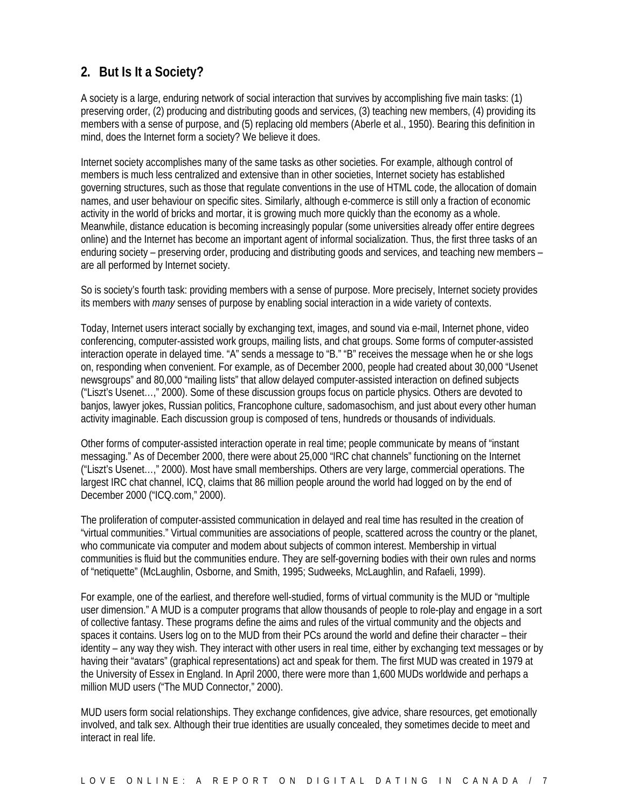### **2. But Is It a Society?**

A society is a large, enduring network of social interaction that survives by accomplishing five main tasks: (1) preserving order, (2) producing and distributing goods and services, (3) teaching new members, (4) providing its members with a sense of purpose, and (5) replacing old members (Aberle et al., 1950). Bearing this definition in mind, does the Internet form a society? We believe it does.

Internet society accomplishes many of the same tasks as other societies. For example, although control of members is much less centralized and extensive than in other societies, Internet society has established governing structures, such as those that regulate conventions in the use of HTML code, the allocation of domain names, and user behaviour on specific sites. Similarly, although e-commerce is still only a fraction of economic activity in the world of bricks and mortar, it is growing much more quickly than the economy as a whole. Meanwhile, distance education is becoming increasingly popular (some universities already offer entire degrees online) and the Internet has become an important agent of informal socialization. Thus, the first three tasks of an enduring society – preserving order, producing and distributing goods and services, and teaching new members – are all performed by Internet society.

So is society's fourth task: providing members with a sense of purpose. More precisely, Internet society provides its members with *many* senses of purpose by enabling social interaction in a wide variety of contexts.

Today, Internet users interact socially by exchanging text, images, and sound via e-mail, Internet phone, video conferencing, computer-assisted work groups, mailing lists, and chat groups. Some forms of computer-assisted interaction operate in delayed time. "A" sends a message to "B." "B" receives the message when he or she logs on, responding when convenient. For example, as of December 2000, people had created about 30,000 "Usenet newsgroups" and 80,000 "mailing lists" that allow delayed computer-assisted interaction on defined subjects ("Liszt's Usenet…," 2000). Some of these discussion groups focus on particle physics. Others are devoted to banjos, lawyer jokes, Russian politics, Francophone culture, sadomasochism, and just about every other human activity imaginable. Each discussion group is composed of tens, hundreds or thousands of individuals.

Other forms of computer-assisted interaction operate in real time; people communicate by means of "instant messaging." As of December 2000, there were about 25,000 "IRC chat channels" functioning on the Internet ("Liszt's Usenet…," 2000). Most have small memberships. Others are very large, commercial operations. The largest IRC chat channel, ICQ, claims that 86 million people around the world had logged on by the end of December 2000 ("ICQ.com," 2000).

The proliferation of computer-assisted communication in delayed and real time has resulted in the creation of "virtual communities." Virtual communities are associations of people, scattered across the country or the planet, who communicate via computer and modem about subjects of common interest. Membership in virtual communities is fluid but the communities endure. They are self-governing bodies with their own rules and norms of "netiquette" (McLaughlin, Osborne, and Smith, 1995; Sudweeks, McLaughlin, and Rafaeli, 1999).

For example, one of the earliest, and therefore well-studied, forms of virtual community is the MUD or "multiple user dimension." A MUD is a computer programs that allow thousands of people to role-play and engage in a sort of collective fantasy. These programs define the aims and rules of the virtual community and the objects and spaces it contains. Users log on to the MUD from their PCs around the world and define their character – their identity – any way they wish. They interact with other users in real time, either by exchanging text messages or by having their "avatars" (graphical representations) act and speak for them. The first MUD was created in 1979 at the University of Essex in England. In April 2000, there were more than 1,600 MUDs worldwide and perhaps a million MUD users ("The MUD Connector," 2000).

MUD users form social relationships. They exchange confidences, give advice, share resources, get emotionally involved, and talk sex. Although their true identities are usually concealed, they sometimes decide to meet and interact in real life.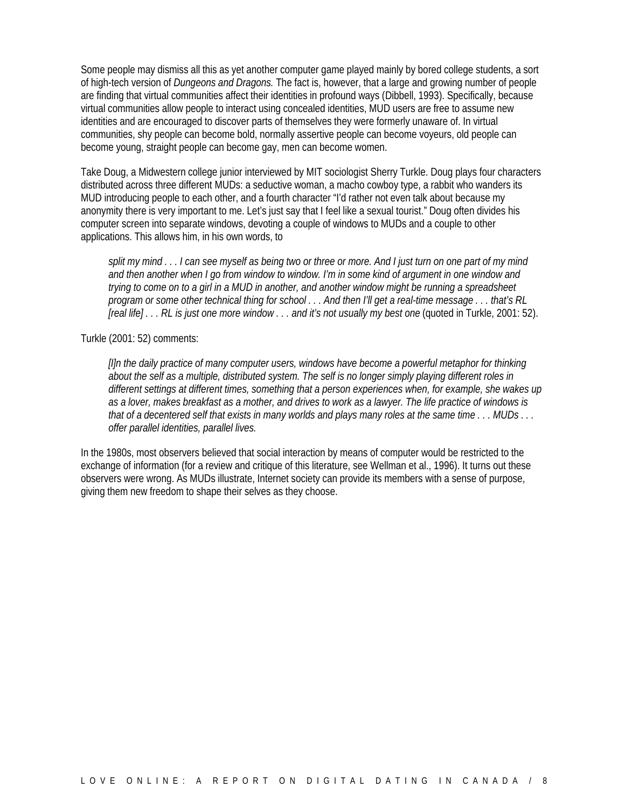Some people may dismiss all this as yet another computer game played mainly by bored college students, a sort of high-tech version of *Dungeons and Dragons.* The fact is, however, that a large and growing number of people are finding that virtual communities affect their identities in profound ways (Dibbell, 1993). Specifically, because virtual communities allow people to interact using concealed identities, MUD users are free to assume new identities and are encouraged to discover parts of themselves they were formerly unaware of. In virtual communities, shy people can become bold, normally assertive people can become voyeurs, old people can become young, straight people can become gay, men can become women.

Take Doug, a Midwestern college junior interviewed by MIT sociologist Sherry Turkle. Doug plays four characters distributed across three different MUDs: a seductive woman, a macho cowboy type, a rabbit who wanders its MUD introducing people to each other, and a fourth character "I'd rather not even talk about because my anonymity there is very important to me. Let's just say that I feel like a sexual tourist." Doug often divides his computer screen into separate windows, devoting a couple of windows to MUDs and a couple to other applications. This allows him, in his own words, to

*split my mind . . . I can see myself as being two or three or more. And I just turn on one part of my mind and then another when I go from window to window. I'm in some kind of argument in one window and trying to come on to a girl in a MUD in another, and another window might be running a spreadsheet program or some other technical thing for school . . . And then I'll get a real-time message . . . that's RL [real life] . . . RL is just one more window . . . and it's not usually my best one* (quoted in Turkle, 2001: 52).

#### Turkle (2001: 52) comments:

*[I]n the daily practice of many computer users, windows have become a powerful metaphor for thinking about the self as a multiple, distributed system. The self is no longer simply playing different roles in different settings at different times, something that a person experiences when, for example, she wakes up as a lover, makes breakfast as a mother, and drives to work as a lawyer. The life practice of windows is that of a decentered self that exists in many worlds and plays many roles at the same time . . . MUDs . . . offer parallel identities, parallel lives.*

In the 1980s, most observers believed that social interaction by means of computer would be restricted to the exchange of information (for a review and critique of this literature, see Wellman et al., 1996). It turns out these observers were wrong. As MUDs illustrate, Internet society can provide its members with a sense of purpose, giving them new freedom to shape their selves as they choose.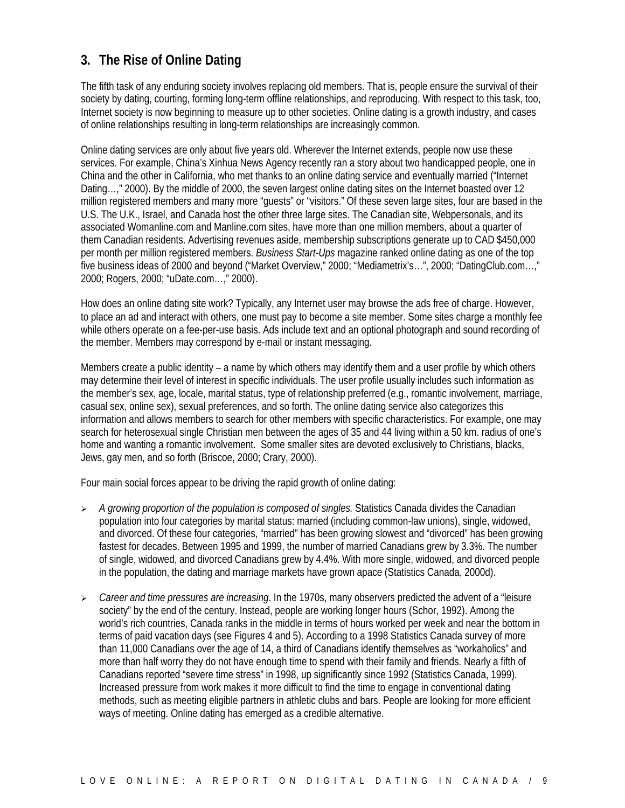### **3. The Rise of Online Dating**

The fifth task of any enduring society involves replacing old members. That is, people ensure the survival of their society by dating, courting, forming long-term offline relationships, and reproducing. With respect to this task, too, Internet society is now beginning to measure up to other societies. Online dating is a growth industry, and cases of online relationships resulting in long-term relationships are increasingly common.

Online dating services are only about five years old. Wherever the Internet extends, people now use these services. For example, China's Xinhua News Agency recently ran a story about two handicapped people, one in China and the other in California, who met thanks to an online dating service and eventually married ("Internet Dating…," 2000). By the middle of 2000, the seven largest online dating sites on the Internet boasted over 12 million registered members and many more "guests" or "visitors." Of these seven large sites, four are based in the U.S. The U.K., Israel, and Canada host the other three large sites. The Canadian site, Webpersonals, and its associated Womanline.com and Manline.com sites, have more than one million members, about a quarter of them Canadian residents. Advertising revenues aside, membership subscriptions generate up to CAD \$450,000 per month per million registered members. *Business Start-Ups* magazine ranked online dating as one of the top five business ideas of 2000 and beyond ("Market Overview," 2000; "Mediametrix's…", 2000; "DatingClub.com…," 2000; Rogers, 2000; "uDate.com…," 2000).

How does an online dating site work? Typically, any Internet user may browse the ads free of charge. However, to place an ad and interact with others, one must pay to become a site member. Some sites charge a monthly fee while others operate on a fee-per-use basis. Ads include text and an optional photograph and sound recording of the member. Members may correspond by e-mail or instant messaging.

Members create a public identity – a name by which others may identify them and a user profile by which others may determine their level of interest in specific individuals. The user profile usually includes such information as the member's sex, age, locale, marital status, type of relationship preferred (e.g., romantic involvement, marriage, casual sex, online sex), sexual preferences, and so forth. The online dating service also categorizes this information and allows members to search for other members with specific characteristics. For example, one may search for heterosexual single Christian men between the ages of 35 and 44 living within a 50 km. radius of one's home and wanting a romantic involvement. Some smaller sites are devoted exclusively to Christians, blacks, Jews, gay men, and so forth (Briscoe, 2000; Crary, 2000).

Four main social forces appear to be driving the rapid growth of online dating:

- ÿ *A growing proportion of the population is composed of singles.* Statistics Canada divides the Canadian population into four categories by marital status: married (including common-law unions), single, widowed, and divorced. Of these four categories, "married" has been growing slowest and "divorced" has been growing fastest for decades. Between 1995 and 1999, the number of married Canadians grew by 3.3%. The number of single, widowed, and divorced Canadians grew by 4.4%. With more single, widowed, and divorced people in the population, the dating and marriage markets have grown apace (Statistics Canada, 2000d).
- ÿ *Career and time pressures are increasing*. In the 1970s, many observers predicted the advent of a "leisure society" by the end of the century. Instead, people are working longer hours (Schor, 1992). Among the world's rich countries, Canada ranks in the middle in terms of hours worked per week and near the bottom in terms of paid vacation days (see Figures 4 and 5). According to a 1998 Statistics Canada survey of more than 11,000 Canadians over the age of 14, a third of Canadians identify themselves as "workaholics" and more than half worry they do not have enough time to spend with their family and friends. Nearly a fifth of Canadians reported "severe time stress" in 1998, up significantly since 1992 (Statistics Canada, 1999). Increased pressure from work makes it more difficult to find the time to engage in conventional dating methods, such as meeting eligible partners in athletic clubs and bars. People are looking for more efficient ways of meeting. Online dating has emerged as a credible alternative.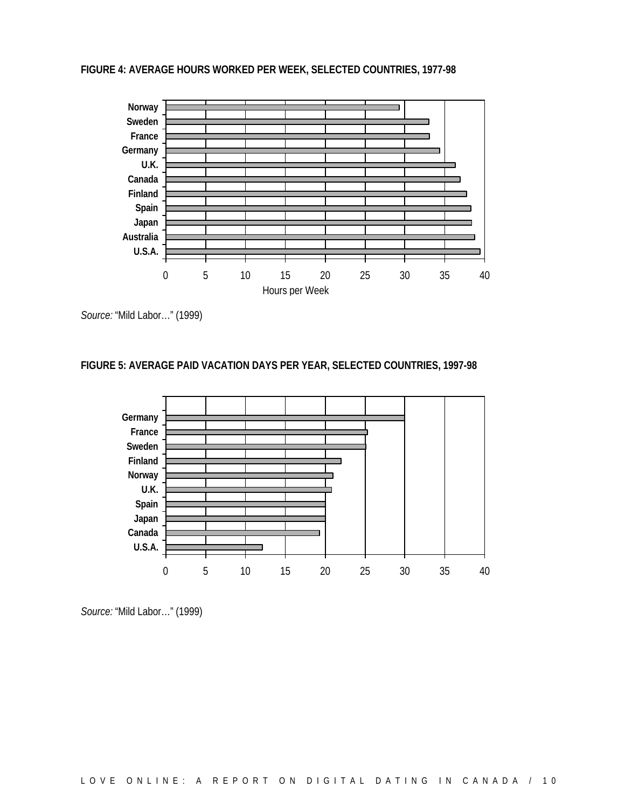#### **FIGURE 4: AVERAGE HOURS WORKED PER WEEK, SELECTED COUNTRIES, 1977-98**



*Source:* "Mild Labor…" (1999)

#### **FIGURE 5: AVERAGE PAID VACATION DAYS PER YEAR, SELECTED COUNTRIES, 1997-98**



*Source:* "Mild Labor…" (1999)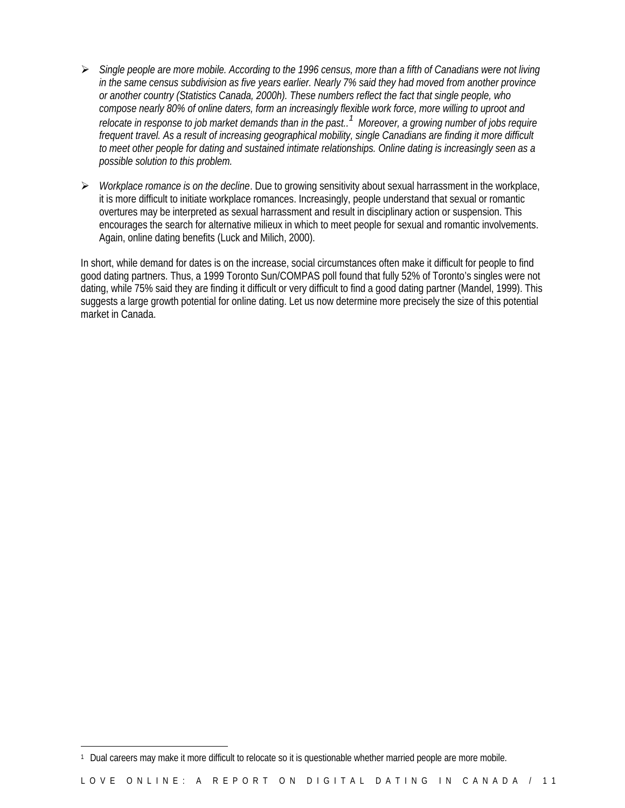- ÿ *Single people are more mobile. According to the 1996 census, more than a fifth of Canadians were not living in the same census subdivision as five years earlier. Nearly 7% said they had moved from another province or another country (Statistics Canada, 2000h). These numbers reflect the fact that single people, who compose nearly 80% of online daters, form an increasingly flexible work force, more willing to uproot and relocate in response to job market demands than in the past.. 1 Moreover, a growing number of jobs require frequent travel. As a result of increasing geographical mobility, single Canadians are finding it more difficult to meet other people for dating and sustained intimate relationships. Online dating is increasingly seen as a possible solution to this problem.*
- ÿ *Workplace romance is on the decline*. Due to growing sensitivity about sexual harrassment in the workplace, it is more difficult to initiate workplace romances. Increasingly, people understand that sexual or romantic overtures may be interpreted as sexual harrassment and result in disciplinary action or suspension. This encourages the search for alternative milieux in which to meet people for sexual and romantic involvements. Again, online dating benefits (Luck and Milich, 2000).

In short, while demand for dates is on the increase, social circumstances often make it difficult for people to find good dating partners. Thus, a 1999 Toronto Sun/COMPAS poll found that fully 52% of Toronto's singles were not dating, while 75% said they are finding it difficult or very difficult to find a good dating partner (Mandel, 1999). This suggests a large growth potential for online dating. Let us now determine more precisely the size of this potential market in Canada.

 $\overline{a}$ 

<sup>1</sup> Dual careers may make it more difficult to relocate so it is questionable whether married people are more mobile.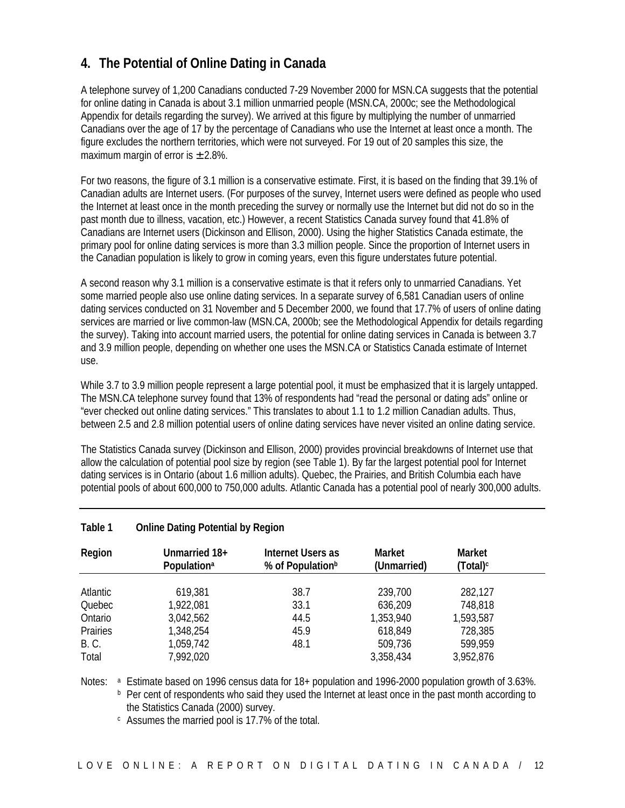### **4. The Potential of Online Dating in Canada**

A telephone survey of 1,200 Canadians conducted 7-29 November 2000 for MSN.CA suggests that the potential for online dating in Canada is about 3.1 million unmarried people (MSN.CA, 2000c; see the Methodological Appendix for details regarding the survey). We arrived at this figure by multiplying the number of unmarried Canadians over the age of 17 by the percentage of Canadians who use the Internet at least once a month. The figure excludes the northern territories, which were not surveyed. For 19 out of 20 samples this size, the maximum margin of error is  $\pm$  2.8%.

For two reasons, the figure of 3.1 million is a conservative estimate. First, it is based on the finding that 39.1% of Canadian adults are Internet users. (For purposes of the survey, Internet users were defined as people who used the Internet at least once in the month preceding the survey or normally use the Internet but did not do so in the past month due to illness, vacation, etc.) However, a recent Statistics Canada survey found that 41.8% of Canadians are Internet users (Dickinson and Ellison, 2000). Using the higher Statistics Canada estimate, the primary pool for online dating services is more than 3.3 million people. Since the proportion of Internet users in the Canadian population is likely to grow in coming years, even this figure understates future potential.

A second reason why 3.1 million is a conservative estimate is that it refers only to unmarried Canadians. Yet some married people also use online dating services. In a separate survey of 6,581 Canadian users of online dating services conducted on 31 November and 5 December 2000, we found that 17.7% of users of online dating services are married or live common-law (MSN.CA, 2000b; see the Methodological Appendix for details regarding the survey). Taking into account married users, the potential for online dating services in Canada is between 3.7 and 3.9 million people, depending on whether one uses the MSN.CA or Statistics Canada estimate of Internet use.

While 3.7 to 3.9 million people represent a large potential pool, it must be emphasized that it is largely untapped. The MSN.CA telephone survey found that 13% of respondents had "read the personal or dating ads" online or "ever checked out online dating services." This translates to about 1.1 to 1.2 million Canadian adults. Thus, between 2.5 and 2.8 million potential users of online dating services have never visited an online dating service.

The Statistics Canada survey (Dickinson and Ellison, 2000) provides provincial breakdowns of Internet use that allow the calculation of potential pool size by region (see Table 1). By far the largest potential pool for Internet dating services is in Ontario (about 1.6 million adults). Quebec, the Prairies, and British Columbia each have potential pools of about 600,000 to 750,000 adults. Atlantic Canada has a potential pool of nearly 300,000 adults.

| Region      | Unmarried 18+<br>Population <sup>a</sup> | Internet Users as<br>% of Population <sup>b</sup> | <b>Market</b><br>(Unmarried) | <b>Market</b><br>(Total) <sup>c</sup> |  |
|-------------|------------------------------------------|---------------------------------------------------|------------------------------|---------------------------------------|--|
|             |                                          |                                                   |                              |                                       |  |
| Atlantic    | 619,381                                  | 38.7                                              | 239,700                      | 282,127                               |  |
| Quebec      | 1,922,081                                | 33.1                                              | 636,209                      | 748,818                               |  |
| Ontario     | 3,042,562                                | 44.5                                              | 1,353,940                    | 1,593,587                             |  |
| Prairies    | 1,348,254                                | 45.9                                              | 618,849                      | 728,385                               |  |
| <b>B.C.</b> | 1,059,742                                | 48.1                                              | 509,736                      | 599,959                               |  |
| Total       | 7,992,020                                |                                                   | 3,358,434                    | 3,952,876                             |  |

#### **Table 1 Online Dating Potential by Region**

Notes: a Estimate based on 1996 census data for 18+ population and 1996-2000 population growth of 3.63%. <sup>b</sup> Per cent of respondents who said they used the Internet at least once in the past month according to the Statistics Canada (2000) survey.

<sup>c</sup> Assumes the married pool is 17.7% of the total.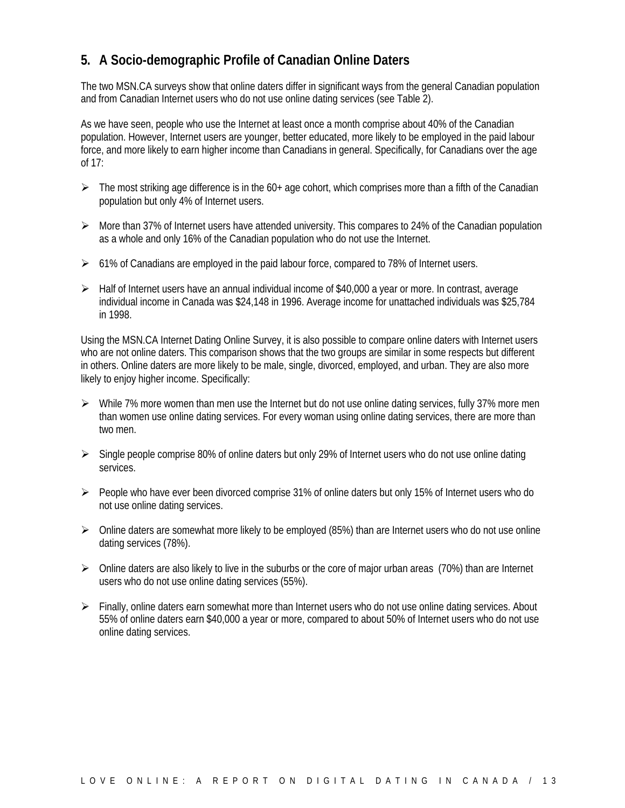### **5. A Socio-demographic Profile of Canadian Online Daters**

The two MSN.CA surveys show that online daters differ in significant ways from the general Canadian population and from Canadian Internet users who do not use online dating services (see Table 2).

As we have seen, people who use the Internet at least once a month comprise about 40% of the Canadian population. However, Internet users are younger, better educated, more likely to be employed in the paid labour force, and more likely to earn higher income than Canadians in general. Specifically, for Canadians over the age of 17:

- $\triangleright$  The most striking age difference is in the 60+ age cohort, which comprises more than a fifth of the Canadian population but only 4% of Internet users.
- $\triangleright$  More than 37% of Internet users have attended university. This compares to 24% of the Canadian population as a whole and only 16% of the Canadian population who do not use the Internet.
- $\triangleright$  61% of Canadians are employed in the paid labour force, compared to 78% of Internet users.
- $\triangleright$  Half of Internet users have an annual individual income of \$40,000 a year or more. In contrast, average individual income in Canada was \$24,148 in 1996. Average income for unattached individuals was \$25,784 in 1998.

Using the MSN.CA Internet Dating Online Survey, it is also possible to compare online daters with Internet users who are not online daters. This comparison shows that the two groups are similar in some respects but different in others. Online daters are more likely to be male, single, divorced, employed, and urban. They are also more likely to enjoy higher income. Specifically:

- $\triangleright$  While 7% more women than men use the Internet but do not use online dating services, fully 37% more men than women use online dating services. For every woman using online dating services, there are more than two men.
- $\triangleright$  Single people comprise 80% of online daters but only 29% of Internet users who do not use online dating services.
- $\triangleright$  People who have ever been divorced comprise 31% of online daters but only 15% of Internet users who do not use online dating services.
- $\triangleright$  Online daters are somewhat more likely to be employed (85%) than are Internet users who do not use online dating services (78%).
- $\triangleright$  Online daters are also likely to live in the suburbs or the core of major urban areas (70%) than are Internet users who do not use online dating services (55%).
- $\triangleright$  Finally, online daters earn somewhat more than Internet users who do not use online dating services. About 55% of online daters earn \$40,000 a year or more, compared to about 50% of Internet users who do not use online dating services.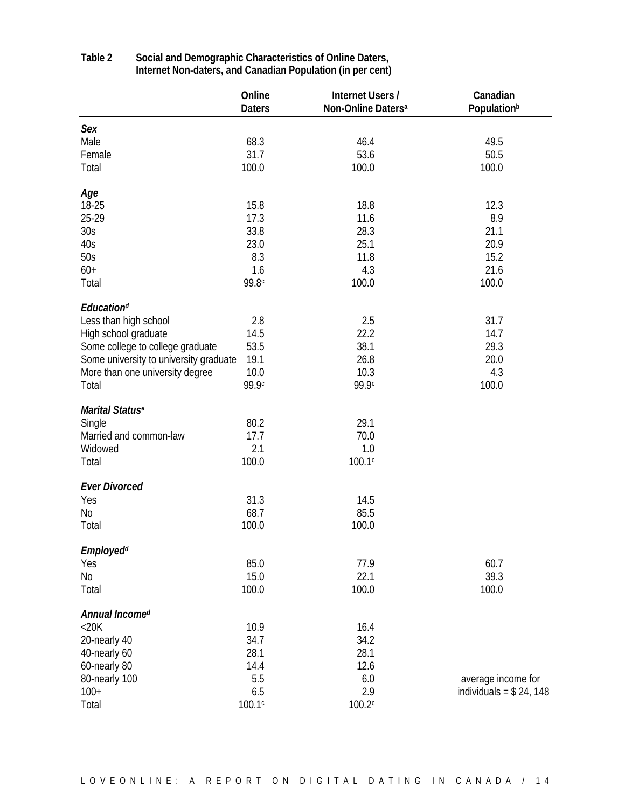| Sex<br>Male<br>68.3<br>46.4<br>49.5<br>31.7<br>53.6<br>50.5<br>Female<br>Total<br>100.0<br>100.0<br>100.0 |  |
|-----------------------------------------------------------------------------------------------------------|--|
|                                                                                                           |  |
|                                                                                                           |  |
|                                                                                                           |  |
|                                                                                                           |  |
|                                                                                                           |  |
| Age                                                                                                       |  |
| 15.8<br>18-25<br>18.8<br>12.3                                                                             |  |
| 25-29<br>17.3<br>8.9<br>11.6                                                                              |  |
| 33.8<br>30 <sub>S</sub><br>28.3<br>21.1                                                                   |  |
| 20.9<br>40s<br>23.0<br>25.1                                                                               |  |
| 8.3<br>50s<br>11.8<br>15.2                                                                                |  |
| 21.6<br>1.6<br>4.3                                                                                        |  |
| $60+$                                                                                                     |  |
| 99.8c<br>100.0<br>100.0<br>Total                                                                          |  |
| <b>Educationd</b>                                                                                         |  |
| 31.7<br>Less than high school<br>2.8<br>2.5                                                               |  |
| 14.5<br>22.2<br>14.7<br>High school graduate                                                              |  |
| 53.5<br>38.1<br>29.3<br>Some college to college graduate                                                  |  |
| 20.0<br>Some university to university graduate<br>19.1<br>26.8                                            |  |
| 10.0<br>10.3<br>More than one university degree<br>4.3                                                    |  |
| 99.9c<br>99.9c                                                                                            |  |
| 100.0<br>Total                                                                                            |  |
| Marital Status <sup>e</sup>                                                                               |  |
| 80.2<br>29.1<br>Single                                                                                    |  |
| 17.7<br>Married and common-law<br>70.0                                                                    |  |
| 2.1<br>1.0<br>Widowed                                                                                     |  |
| 100.0<br>100.1c<br>Total                                                                                  |  |
|                                                                                                           |  |
| <b>Ever Divorced</b>                                                                                      |  |
| Yes<br>31.3<br>14.5                                                                                       |  |
| 85.5<br>No<br>68.7                                                                                        |  |
| 100.0<br>Total<br>100.0                                                                                   |  |
| <b>Employedd</b>                                                                                          |  |
| 85.0<br>Yes<br>77.9<br>60.7                                                                               |  |
| 15.0<br>39.3<br>22.1<br>N <sub>0</sub>                                                                    |  |
| 100.0<br>100.0<br>100.0                                                                                   |  |
| Total                                                                                                     |  |
| Annual Incomed                                                                                            |  |
| $<$ 20 $K$<br>10.9<br>16.4                                                                                |  |
| 20-nearly 40<br>34.7<br>34.2                                                                              |  |
| 28.1<br>40-nearly 60<br>28.1                                                                              |  |
| 14.4<br>60-nearly 80<br>12.6                                                                              |  |
| 5.5<br>80-nearly 100<br>6.0<br>average income for                                                         |  |
| 6.5<br>2.9<br>$100+$<br>individuals = $$24, 148$                                                          |  |
| 100.1c<br>Total<br>100.2c                                                                                 |  |

#### **Table 2 Social and Demographic Characteristics of Online Daters, Internet Non-daters, and Canadian Population (in per cent)**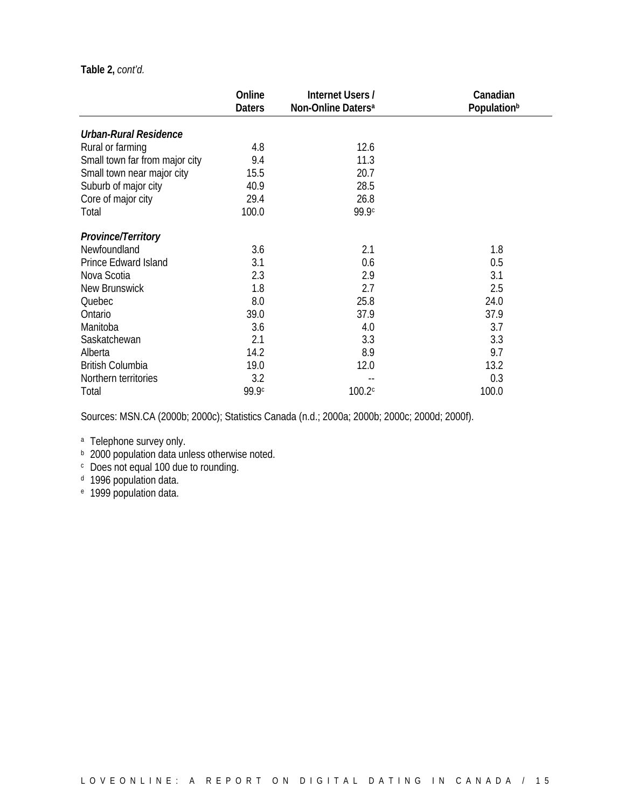#### **Table 2,** *cont'd.*

|                                | Online        | <b>Internet Users /</b>        | Canadian                |
|--------------------------------|---------------|--------------------------------|-------------------------|
|                                | <b>Daters</b> | Non-Online Daters <sup>a</sup> | Population <sup>b</sup> |
| <b>Urban-Rural Residence</b>   |               |                                |                         |
| Rural or farming               | 4.8           | 12.6                           |                         |
| Small town far from major city | 9.4           | 11.3                           |                         |
| Small town near major city     | 15.5          | 20.7                           |                         |
| Suburb of major city           | 40.9          | 28.5                           |                         |
| Core of major city             | 29.4          | 26.8                           |                         |
| Total                          | 100.0         | 99.9c                          |                         |
| <b>Province/Territory</b>      |               |                                |                         |
| Newfoundland                   | 3.6           | 2.1                            | 1.8                     |
| Prince Edward Island           | 3.1           | 0.6                            | 0.5                     |
| Nova Scotia                    | 2.3           | 2.9                            | 3.1                     |
| New Brunswick                  | 1.8           | 2.7                            | 2.5                     |
| Quebec                         | 8.0           | 25.8                           | 24.0                    |
| Ontario                        | 39.0          | 37.9                           | 37.9                    |
| Manitoba                       | 3.6           | 4.0                            | 3.7                     |
| Saskatchewan                   | 2.1           | 3.3                            | 3.3                     |
| Alberta                        | 14.2          | 8.9                            | 9.7                     |
| <b>British Columbia</b>        | 19.0          | 12.0                           | 13.2                    |
| Northern territories           | 3.2           |                                | 0.3                     |
| Total                          | 99.9c         | 100.2c                         | 100.0                   |

Sources: MSN.CA (2000b; 2000c); Statistics Canada (n.d.; 2000a; 2000b; 2000c; 2000d; 2000f).

a Telephone survey only.

- **b** 2000 population data unless otherwise noted.
- <sup>c</sup> Does not equal 100 due to rounding.
- <sup>d</sup> 1996 population data.
- <sup>e</sup> 1999 population data.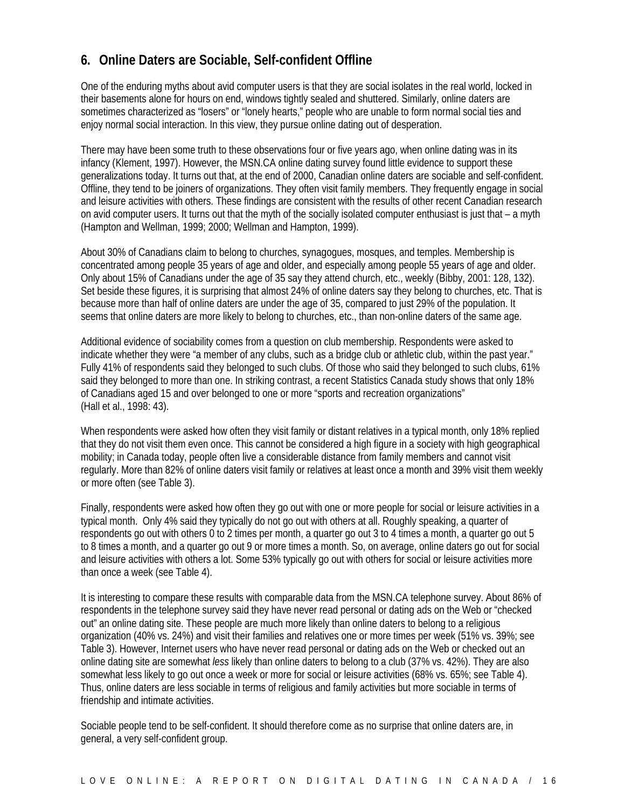### **6. Online Daters are Sociable, Self-confident Offline**

One of the enduring myths about avid computer users is that they are social isolates in the real world, locked in their basements alone for hours on end, windows tightly sealed and shuttered. Similarly, online daters are sometimes characterized as "losers" or "lonely hearts," people who are unable to form normal social ties and enjoy normal social interaction. In this view, they pursue online dating out of desperation.

There may have been some truth to these observations four or five years ago, when online dating was in its infancy (Klement, 1997). However, the MSN.CA online dating survey found little evidence to support these generalizations today. It turns out that, at the end of 2000, Canadian online daters are sociable and self-confident. Offline, they tend to be joiners of organizations. They often visit family members. They frequently engage in social and leisure activities with others. These findings are consistent with the results of other recent Canadian research on avid computer users. It turns out that the myth of the socially isolated computer enthusiast is just that – a myth (Hampton and Wellman, 1999; 2000; Wellman and Hampton, 1999).

About 30% of Canadians claim to belong to churches, synagogues, mosques, and temples. Membership is concentrated among people 35 years of age and older, and especially among people 55 years of age and older. Only about 15% of Canadians under the age of 35 say they attend church, etc., weekly (Bibby, 2001: 128, 132). Set beside these figures, it is surprising that almost 24% of online daters say they belong to churches, etc. That is because more than half of online daters are under the age of 35, compared to just 29% of the population. It seems that online daters are more likely to belong to churches, etc., than non-online daters of the same age.

Additional evidence of sociability comes from a question on club membership. Respondents were asked to indicate whether they were "a member of any clubs, such as a bridge club or athletic club, within the past year." Fully 41% of respondents said they belonged to such clubs. Of those who said they belonged to such clubs, 61% said they belonged to more than one. In striking contrast, a recent Statistics Canada study shows that only 18% of Canadians aged 15 and over belonged to one or more "sports and recreation organizations" (Hall et al., 1998: 43).

When respondents were asked how often they visit family or distant relatives in a typical month, only 18% replied that they do not visit them even once. This cannot be considered a high figure in a society with high geographical mobility; in Canada today, people often live a considerable distance from family members and cannot visit regularly. More than 82% of online daters visit family or relatives at least once a month and 39% visit them weekly or more often (see Table 3).

Finally, respondents were asked how often they go out with one or more people for social or leisure activities in a typical month. Only 4% said they typically do not go out with others at all. Roughly speaking, a quarter of respondents go out with others 0 to 2 times per month, a quarter go out 3 to 4 times a month, a quarter go out 5 to 8 times a month, and a quarter go out 9 or more times a month. So, on average, online daters go out for social and leisure activities with others a lot. Some 53% typically go out with others for social or leisure activities more than once a week (see Table 4).

It is interesting to compare these results with comparable data from the MSN.CA telephone survey. About 86% of respondents in the telephone survey said they have never read personal or dating ads on the Web or "checked out" an online dating site. These people are much more likely than online daters to belong to a religious organization (40% vs. 24%) and visit their families and relatives one or more times per week (51% vs. 39%; see Table 3). However, Internet users who have never read personal or dating ads on the Web or checked out an online dating site are somewhat *less* likely than online daters to belong to a club (37% vs. 42%). They are also somewhat less likely to go out once a week or more for social or leisure activities (68% vs. 65%; see Table 4). Thus, online daters are less sociable in terms of religious and family activities but more sociable in terms of friendship and intimate activities.

Sociable people tend to be self-confident. It should therefore come as no surprise that online daters are, in general, a very self-confident group.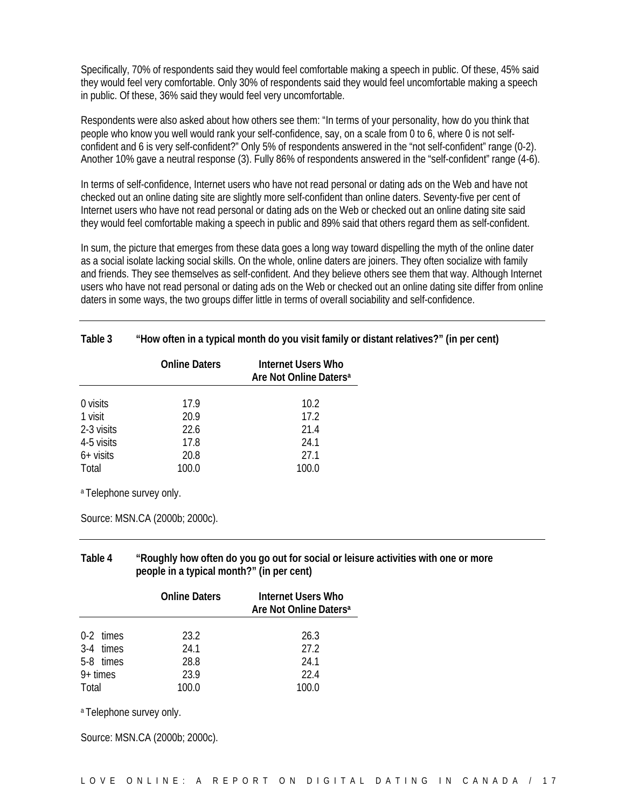Specifically, 70% of respondents said they would feel comfortable making a speech in public. Of these, 45% said they would feel very comfortable. Only 30% of respondents said they would feel uncomfortable making a speech in public. Of these, 36% said they would feel very uncomfortable.

Respondents were also asked about how others see them: "In terms of your personality, how do you think that people who know you well would rank your self-confidence, say, on a scale from 0 to 6, where 0 is not selfconfident and 6 is very self-confident?" Only 5% of respondents answered in the "not self-confident" range (0-2). Another 10% gave a neutral response (3). Fully 86% of respondents answered in the "self-confident" range (4-6).

In terms of self-confidence, Internet users who have not read personal or dating ads on the Web and have not checked out an online dating site are slightly more self-confident than online daters. Seventy-five per cent of Internet users who have not read personal or dating ads on the Web or checked out an online dating site said they would feel comfortable making a speech in public and 89% said that others regard them as self-confident.

In sum, the picture that emerges from these data goes a long way toward dispelling the myth of the online dater as a social isolate lacking social skills. On the whole, online daters are joiners. They often socialize with family and friends. They see themselves as self-confident. And they believe others see them that way. Although Internet users who have not read personal or dating ads on the Web or checked out an online dating site differ from online daters in some ways, the two groups differ little in terms of overall sociability and self-confidence.

| Table 3 | "How often in a typical month do you visit family or distant relatives?" (in per cent) |
|---------|----------------------------------------------------------------------------------------|
|         |                                                                                        |

|             | <b>Online Daters</b> | Internet Users Who<br>Are Not Online Daters <sup>a</sup> |
|-------------|----------------------|----------------------------------------------------------|
|             |                      |                                                          |
| 0 visits    | 17.9                 | 10.2 <sup>2</sup>                                        |
| 1 visit     | 20.9                 | 17.2                                                     |
| 2-3 visits  | 22.6                 | 21.4                                                     |
| 4-5 visits  | 17.8                 | 24.1                                                     |
| $6+$ visits | 20.8                 | 27.1                                                     |
| Total       | 100.0                | 100.0                                                    |

a Telephone survey only.

Source: MSN.CA (2000b; 2000c).

#### **Table 4 "Roughly how often do you go out for social or leisure activities with one or more people in a typical month?" (in per cent)**

|            | <b>Online Daters</b> | <b>Internet Users Who</b><br>Are Not Online Daters <sup>a</sup> |
|------------|----------------------|-----------------------------------------------------------------|
|            |                      |                                                                 |
| 0-2 times  | 23.2                 | 26.3                                                            |
| 3-4 times  | 24.1                 | 27.2                                                            |
| 5-8 times  | 28.8                 | 24.1                                                            |
| $9+$ times | 23.9                 | 22 4                                                            |
| Total      | 100.0                | 100.0                                                           |

a Telephone survey only.

Source: MSN.CA (2000b; 2000c).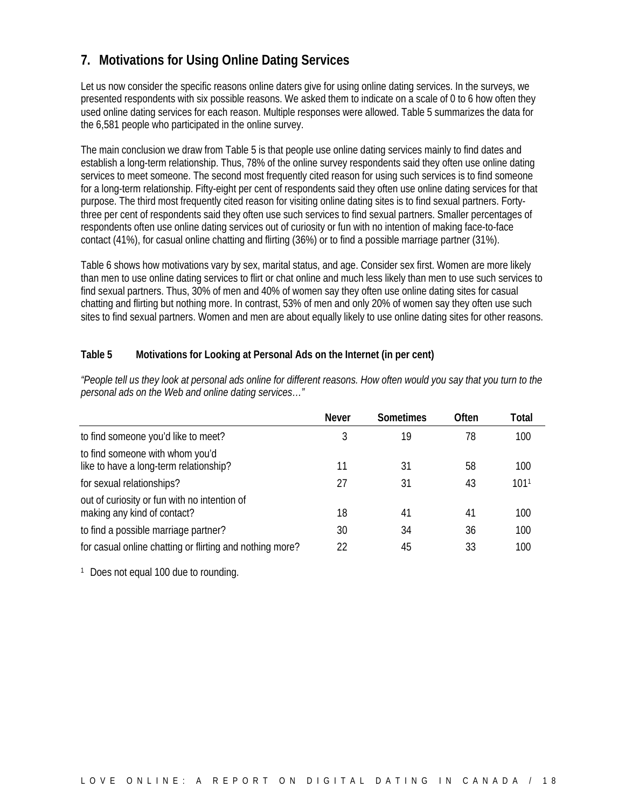### **7. Motivations for Using Online Dating Services**

Let us now consider the specific reasons online daters give for using online dating services. In the surveys, we presented respondents with six possible reasons. We asked them to indicate on a scale of 0 to 6 how often they used online dating services for each reason. Multiple responses were allowed. Table 5 summarizes the data for the 6,581 people who participated in the online survey.

The main conclusion we draw from Table 5 is that people use online dating services mainly to find dates and establish a long-term relationship. Thus, 78% of the online survey respondents said they often use online dating services to meet someone. The second most frequently cited reason for using such services is to find someone for a long-term relationship. Fifty-eight per cent of respondents said they often use online dating services for that purpose. The third most frequently cited reason for visiting online dating sites is to find sexual partners. Fortythree per cent of respondents said they often use such services to find sexual partners. Smaller percentages of respondents often use online dating services out of curiosity or fun with no intention of making face-to-face contact (41%), for casual online chatting and flirting (36%) or to find a possible marriage partner (31%).

Table 6 shows how motivations vary by sex, marital status, and age. Consider sex first. Women are more likely than men to use online dating services to flirt or chat online and much less likely than men to use such services to find sexual partners. Thus, 30% of men and 40% of women say they often use online dating sites for casual chatting and flirting but nothing more. In contrast, 53% of men and only 20% of women say they often use such sites to find sexual partners. Women and men are about equally likely to use online dating sites for other reasons.

#### **Table 5 Motivations for Looking at Personal Ads on the Internet (in per cent)**

|                                                                             | <b>Never</b> | <b>Sometimes</b> | Often | Total            |
|-----------------------------------------------------------------------------|--------------|------------------|-------|------------------|
| to find someone you'd like to meet?                                         | 3            | 19               | 78    | 100              |
| to find someone with whom you'd<br>like to have a long-term relationship?   | 11           | 31               | 58    | 100              |
| for sexual relationships?                                                   | 27           | 31               | 43    | 101 <sup>1</sup> |
| out of curiosity or fun with no intention of<br>making any kind of contact? | 18           | 41               | 41    | 100              |
| to find a possible marriage partner?                                        | 30           | 34               | 36    | 100              |
| for casual online chatting or flirting and nothing more?                    | 22           | 45               | 33    | 100              |

*"People tell us they look at personal ads online for different reasons. How often would you say that you turn to the personal ads on the Web and online dating services…"*

<sup>1</sup> Does not equal 100 due to rounding.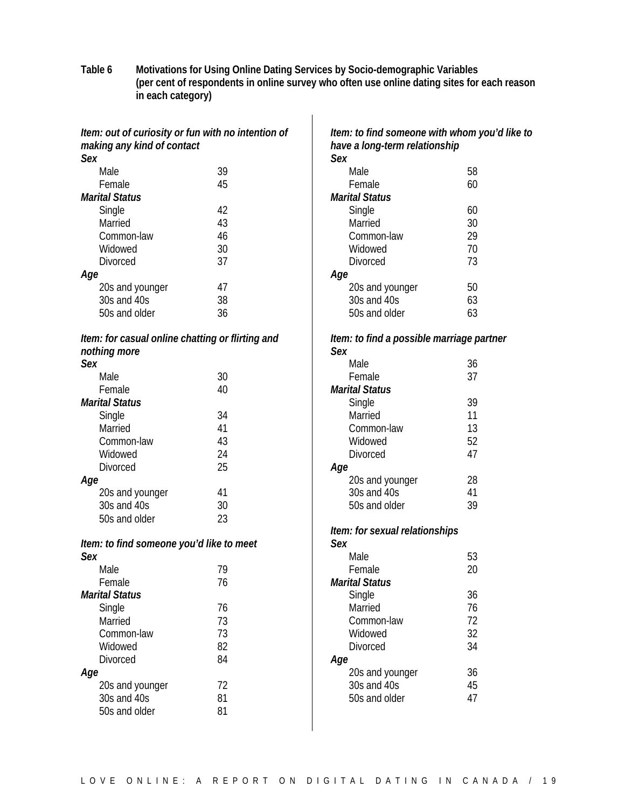**Table 6 Motivations for Using Online Dating Services by Socio-demographic Variables (per cent of respondents in online survey who often use online dating sites for each reason in each category)**

|                                                                                  |    | Item: to find someone with whom you'd like to |    |
|----------------------------------------------------------------------------------|----|-----------------------------------------------|----|
| Item: out of curiosity or fun with no intention of<br>making any kind of contact |    | have a long-term relationship                 |    |
| <b>Sex</b>                                                                       |    | Sex                                           |    |
| Male                                                                             | 39 | Male                                          | 58 |
| Female                                                                           | 45 | Female                                        | 60 |
| <b>Marital Status</b>                                                            |    | <b>Marital Status</b>                         |    |
| Single                                                                           | 42 | Single                                        | 60 |
| Married                                                                          | 43 | Married                                       | 30 |
| Common-law                                                                       | 46 | Common-law                                    | 29 |
| Widowed                                                                          | 30 | Widowed                                       | 70 |
| Divorced                                                                         | 37 | <b>Divorced</b>                               | 73 |
| Age                                                                              |    | Age                                           |    |
| 20s and younger                                                                  | 47 | 20s and younger                               | 50 |
| 30s and 40s                                                                      | 38 | 30s and 40s                                   | 63 |
| 50s and older                                                                    | 36 | 50s and older                                 | 63 |
|                                                                                  |    |                                               |    |
| Item: for casual online chatting or flirting and                                 |    | Item: to find a possible marriage partner     |    |
| nothing more                                                                     |    | <b>Sex</b>                                    |    |
| <b>Sex</b>                                                                       |    | Male                                          | 36 |
| Male                                                                             | 30 | Female                                        | 37 |
| Female                                                                           | 40 | <b>Marital Status</b>                         |    |
| <b>Marital Status</b>                                                            |    | Single                                        | 39 |
| Single                                                                           | 34 | Married                                       | 11 |
| Married                                                                          | 41 | Common-law                                    | 13 |
| Common-law                                                                       | 43 | Widowed                                       | 52 |
| Widowed                                                                          | 24 | Divorced                                      | 47 |
| Divorced                                                                         | 25 | Age                                           |    |
| Age                                                                              |    | 20s and younger                               | 28 |
| 20s and younger                                                                  | 41 | 30s and 40s                                   | 41 |
| 30s and 40s                                                                      | 30 | 50s and older                                 | 39 |
| 50s and older                                                                    | 23 |                                               |    |
|                                                                                  |    | Item: for sexual relationships                |    |
| Item: to find someone you'd like to meet                                         |    | Sex                                           |    |
| Sex                                                                              |    | Male                                          | 53 |
| Male                                                                             | 79 | Female                                        | 20 |
| Female                                                                           | 76 | <b>Marital Status</b>                         |    |
| <b>Marital Status</b>                                                            |    | Single                                        | 36 |
| Single                                                                           | 76 | Married                                       | 76 |
| Married                                                                          | 73 | Common-law                                    | 72 |
| Common-law                                                                       | 73 | Widowed                                       | 32 |
| Widowed                                                                          | 82 | <b>Divorced</b>                               | 34 |
| <b>Divorced</b>                                                                  | 84 | Age                                           |    |
| Age                                                                              |    | 20s and younger                               | 36 |
| 20s and younger                                                                  | 72 | 30s and 40s                                   | 45 |
| 30s and 40s                                                                      | 81 | 50s and older                                 | 47 |
| 50s and older                                                                    | 81 |                                               |    |
|                                                                                  |    |                                               |    |
|                                                                                  |    |                                               |    |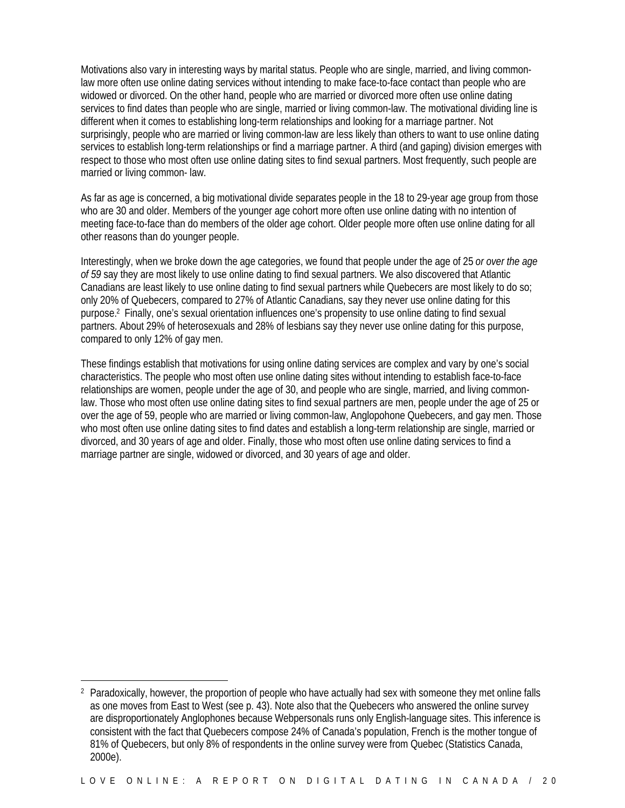Motivations also vary in interesting ways by marital status. People who are single, married, and living commonlaw more often use online dating services without intending to make face-to-face contact than people who are widowed or divorced. On the other hand, people who are married or divorced more often use online dating services to find dates than people who are single, married or living common-law. The motivational dividing line is different when it comes to establishing long-term relationships and looking for a marriage partner. Not surprisingly, people who are married or living common-law are less likely than others to want to use online dating services to establish long-term relationships or find a marriage partner. A third (and gaping) division emerges with respect to those who most often use online dating sites to find sexual partners. Most frequently, such people are married or living common- law.

As far as age is concerned, a big motivational divide separates people in the 18 to 29-year age group from those who are 30 and older. Members of the younger age cohort more often use online dating with no intention of meeting face-to-face than do members of the older age cohort. Older people more often use online dating for all other reasons than do younger people.

Interestingly, when we broke down the age categories, we found that people under the age of 25 *or over the age of 59* say they are most likely to use online dating to find sexual partners. We also discovered that Atlantic Canadians are least likely to use online dating to find sexual partners while Quebecers are most likely to do so; only 20% of Quebecers, compared to 27% of Atlantic Canadians, say they never use online dating for this purpose.2 Finally, one's sexual orientation influences one's propensity to use online dating to find sexual partners. About 29% of heterosexuals and 28% of lesbians say they never use online dating for this purpose, compared to only 12% of gay men.

These findings establish that motivations for using online dating services are complex and vary by one's social characteristics. The people who most often use online dating sites without intending to establish face-to-face relationships are women, people under the age of 30, and people who are single, married, and living commonlaw. Those who most often use online dating sites to find sexual partners are men, people under the age of 25 or over the age of 59, people who are married or living common-law, Anglopohone Quebecers, and gay men. Those who most often use online dating sites to find dates and establish a long-term relationship are single, married or divorced, and 30 years of age and older. Finally, those who most often use online dating services to find a marriage partner are single, widowed or divorced, and 30 years of age and older.

 $\overline{a}$ <sup>2</sup> Paradoxically, however, the proportion of people who have actually had sex with someone they met online falls as one moves from East to West (see p. 43). Note also that the Quebecers who answered the online survey are disproportionately Anglophones because Webpersonals runs only English-language sites. This inference is consistent with the fact that Quebecers compose 24% of Canada's population, French is the mother tongue of 81% of Quebecers, but only 8% of respondents in the online survey were from Quebec (Statistics Canada, 2000e).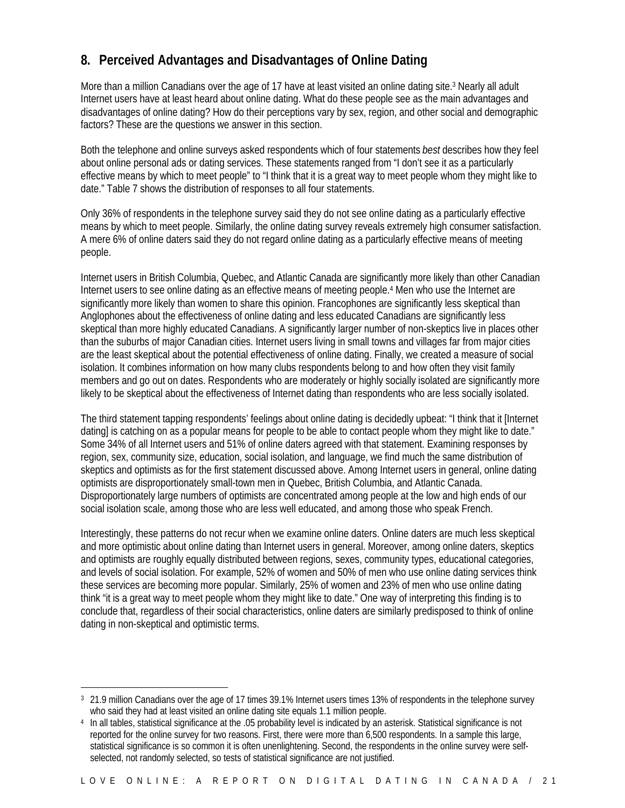### **8. Perceived Advantages and Disadvantages of Online Dating**

More than a million Canadians over the age of 17 have at least visited an online dating site.<sup>3</sup> Nearly all adult Internet users have at least heard about online dating. What do these people see as the main advantages and disadvantages of online dating? How do their perceptions vary by sex, region, and other social and demographic factors? These are the questions we answer in this section.

Both the telephone and online surveys asked respondents which of four statements *best* describes how they feel about online personal ads or dating services. These statements ranged from "I don't see it as a particularly effective means by which to meet people" to "I think that it is a great way to meet people whom they might like to date." Table 7 shows the distribution of responses to all four statements.

Only 36% of respondents in the telephone survey said they do not see online dating as a particularly effective means by which to meet people. Similarly, the online dating survey reveals extremely high consumer satisfaction. A mere 6% of online daters said they do not regard online dating as a particularly effective means of meeting people.

Internet users in British Columbia, Quebec, and Atlantic Canada are significantly more likely than other Canadian Internet users to see online dating as an effective means of meeting people.<sup>4</sup> Men who use the Internet are significantly more likely than women to share this opinion. Francophones are significantly less skeptical than Anglophones about the effectiveness of online dating and less educated Canadians are significantly less skeptical than more highly educated Canadians. A significantly larger number of non-skeptics live in places other than the suburbs of major Canadian cities. Internet users living in small towns and villages far from major cities are the least skeptical about the potential effectiveness of online dating. Finally, we created a measure of social isolation. It combines information on how many clubs respondents belong to and how often they visit family members and go out on dates. Respondents who are moderately or highly socially isolated are significantly more likely to be skeptical about the effectiveness of Internet dating than respondents who are less socially isolated.

The third statement tapping respondents' feelings about online dating is decidedly upbeat: "I think that it [Internet dating] is catching on as a popular means for people to be able to contact people whom they might like to date." Some 34% of all Internet users and 51% of online daters agreed with that statement. Examining responses by region, sex, community size, education, social isolation, and language, we find much the same distribution of skeptics and optimists as for the first statement discussed above. Among Internet users in general, online dating optimists are disproportionately small-town men in Quebec, British Columbia, and Atlantic Canada. Disproportionately large numbers of optimists are concentrated among people at the low and high ends of our social isolation scale, among those who are less well educated, and among those who speak French.

Interestingly, these patterns do not recur when we examine online daters. Online daters are much less skeptical and more optimistic about online dating than Internet users in general. Moreover, among online daters, skeptics and optimists are roughly equally distributed between regions, sexes, community types, educational categories, and levels of social isolation. For example, 52% of women and 50% of men who use online dating services think these services are becoming more popular. Similarly, 25% of women and 23% of men who use online dating think "it is a great way to meet people whom they might like to date." One way of interpreting this finding is to conclude that, regardless of their social characteristics, online daters are similarly predisposed to think of online dating in non-skeptical and optimistic terms.

 $\overline{a}$ 

<sup>3</sup> 21.9 million Canadians over the age of 17 times 39.1% Internet users times 13% of respondents in the telephone survey who said they had at least visited an online dating site equals 1.1 million people.

<sup>4</sup> In all tables, statistical significance at the .05 probability level is indicated by an asterisk. Statistical significance is not reported for the online survey for two reasons. First, there were more than 6,500 respondents. In a sample this large, statistical significance is so common it is often unenlightening. Second, the respondents in the online survey were selfselected, not randomly selected, so tests of statistical significance are not justified.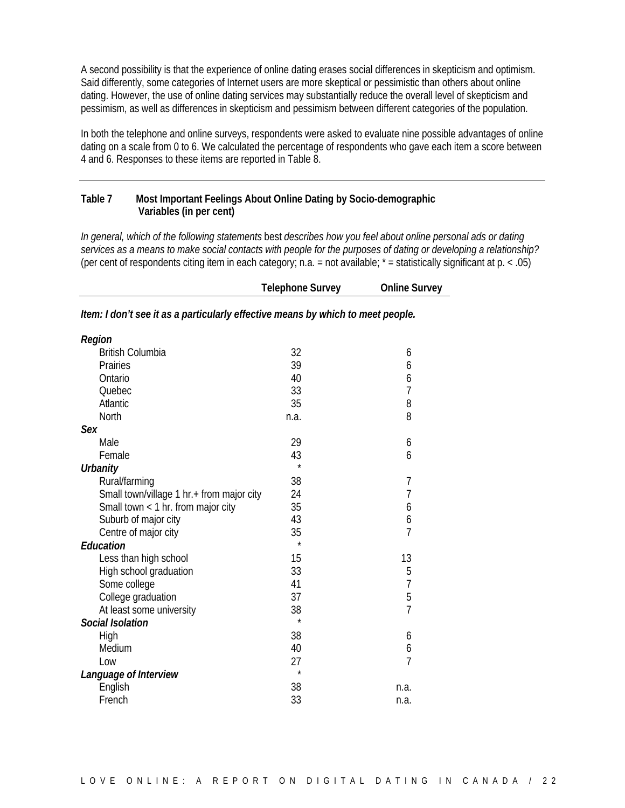A second possibility is that the experience of online dating erases social differences in skepticism and optimism. Said differently, some categories of Internet users are more skeptical or pessimistic than others about online dating. However, the use of online dating services may substantially reduce the overall level of skepticism and pessimism, as well as differences in skepticism and pessimism between different categories of the population.

In both the telephone and online surveys, respondents were asked to evaluate nine possible advantages of online dating on a scale from 0 to 6. We calculated the percentage of respondents who gave each item a score between 4 and 6. Responses to these items are reported in Table 8.

#### **Table 7 Most Important Feelings About Online Dating by Socio-demographic Variables (in per cent)**

*In general, which of the following statements* best *describes how you feel about online personal ads or dating services as a means to make social contacts with people for the purposes of dating or developing a relationship?* (per cent of respondents citing item in each category; n.a. = not available;  $*$  = statistically significant at  $p. < .05$ )

**Telephone Survey Online Survey**

|                         | .                                                                               | - - - - - - - - - - - - - |
|-------------------------|---------------------------------------------------------------------------------|---------------------------|
|                         | Item: I don't see it as a particularly effective means by which to meet people. |                           |
| Region                  |                                                                                 |                           |
| <b>British Columbia</b> | 27                                                                              |                           |
| Ductor - 1              | $\cap$                                                                          |                           |

| <b>British Columbia</b>                   | 32      | 6              |
|-------------------------------------------|---------|----------------|
| Prairies                                  | 39      | 6              |
| Ontario                                   | 40      | 6              |
| Quebec                                    | 33      | $\overline{7}$ |
| Atlantic                                  | 35      | 8              |
| North                                     | n.a.    | 8              |
| Sex                                       |         |                |
| Male                                      | 29      | 6              |
| Female                                    | 43      | 6              |
| <b>Urbanity</b>                           | $\star$ |                |
| Rural/farming                             | 38      | 7              |
| Small town/village 1 hr.+ from major city | 24      | $\overline{7}$ |
| Small town < 1 hr. from major city        | 35      | 6              |
| Suburb of major city                      | 43      | 6              |
| Centre of major city                      | 35      | $\overline{7}$ |
| <b>Education</b>                          | $\star$ |                |
| Less than high school                     | 15      | 13             |
| High school graduation                    | 33      | 5              |
| Some college                              | 41      | 7              |
| College graduation                        | 37      | 5              |
| At least some university                  | 38      | $\overline{7}$ |
| <b>Social Isolation</b>                   | $\star$ |                |
| High                                      | 38      | 6              |
| Medium                                    | 40      | 6              |
| Low                                       | 27      | $\overline{7}$ |
| Language of Interview                     | $\star$ |                |
| English                                   | 38      | n.a.           |
| French                                    | 33      | n.a.           |
|                                           |         |                |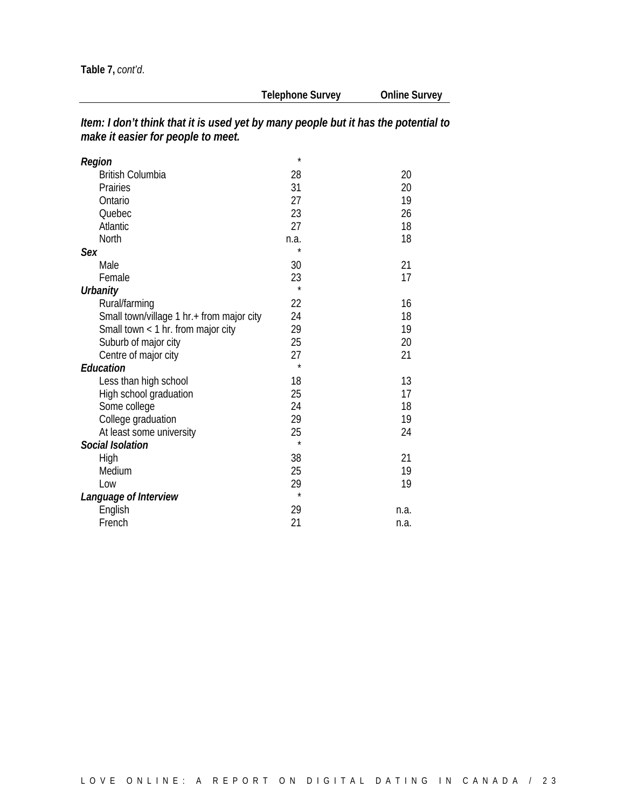| Item: I don't think that it is used yet by many people but it has the potential to |
|------------------------------------------------------------------------------------|
| make it easier for people to meet.                                                 |

| Region                                    | $\star$ |      |
|-------------------------------------------|---------|------|
| <b>British Columbia</b>                   | 28      | 20   |
| Prairies                                  | 31      | 20   |
| Ontario                                   | 27      | 19   |
| Quebec                                    | 23      | 26   |
| Atlantic                                  | 27      | 18   |
| <b>North</b>                              | n.a.    | 18   |
| Sex                                       | $\star$ |      |
| Male                                      | 30      | 21   |
| Female                                    | 23      | 17   |
| <b>Urbanity</b>                           | $\star$ |      |
| Rural/farming                             | 22      | 16   |
| Small town/village 1 hr.+ from major city | 24      | 18   |
| Small town < 1 hr. from major city        | 29      | 19   |
| Suburb of major city                      | 25      | 20   |
| Centre of major city                      | 27      | 21   |
| Education                                 | $\star$ |      |
| Less than high school                     | 18      | 13   |
| High school graduation                    | 25      | 17   |
| Some college                              | 24      | 18   |
| College graduation                        | 29      | 19   |
| At least some university                  | 25      | 24   |
| <b>Social Isolation</b>                   | $\star$ |      |
| High                                      | 38      | 21   |
| Medium                                    | 25      | 19   |
| Low                                       | 29      | 19   |
| Language of Interview                     | $\star$ |      |
| English                                   | 29      | n.a. |
| French                                    | 21      | n.a. |
|                                           |         |      |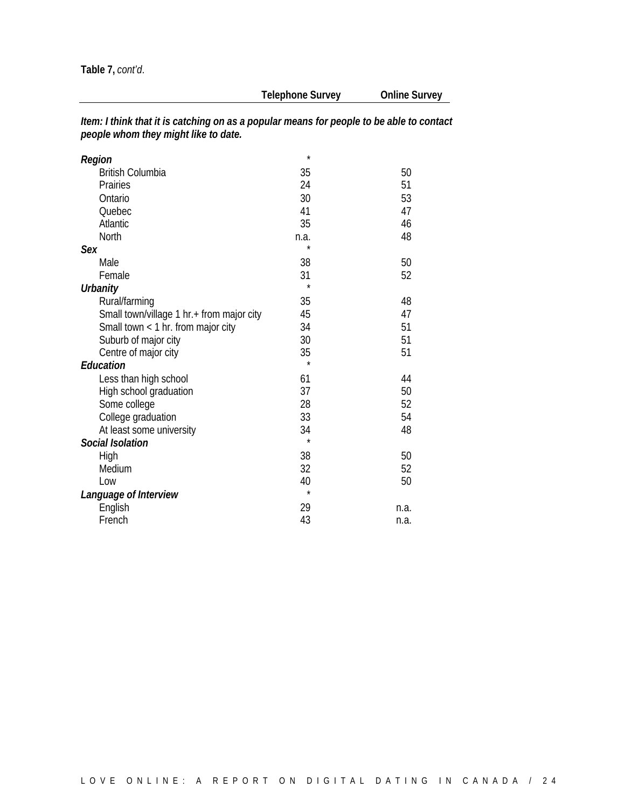**Table 7,** *cont'd*.

**Telephone Survey Online Survey**

| Item: I think that it is catching on as a popular means for people to be able to contact |
|------------------------------------------------------------------------------------------|
| people whom they might like to date.                                                     |

| Region                                    | $\star$ |      |
|-------------------------------------------|---------|------|
| <b>British Columbia</b>                   | 35      | 50   |
| Prairies                                  | 24      | 51   |
| Ontario                                   | 30      | 53   |
| Quebec                                    | 41      | 47   |
| Atlantic                                  | 35      | 46   |
| <b>North</b>                              | n.a.    | 48   |
| Sex                                       |         |      |
| Male                                      | 38      | 50   |
| Female                                    | 31      | 52   |
| Urbanity                                  | $\star$ |      |
| Rural/farming                             | 35      | 48   |
| Small town/village 1 hr.+ from major city | 45      | 47   |
| Small town $<$ 1 hr. from major city      | 34      | 51   |
| Suburb of major city                      | 30      | 51   |
| Centre of major city                      | 35      | 51   |
| <b>Education</b>                          | $\star$ |      |
| Less than high school                     | 61      | 44   |
| High school graduation                    | 37      | 50   |
| Some college                              | 28      | 52   |
| College graduation                        | 33      | 54   |
| At least some university                  | 34      | 48   |
| <b>Social Isolation</b>                   | $\star$ |      |
| High                                      | 38      | 50   |
| Medium                                    | 32      | 52   |
| Low                                       | 40      | 50   |
| Language of Interview                     | $\star$ |      |
| English                                   | 29      | n.a. |
| French                                    | 43      | n.a. |
|                                           |         |      |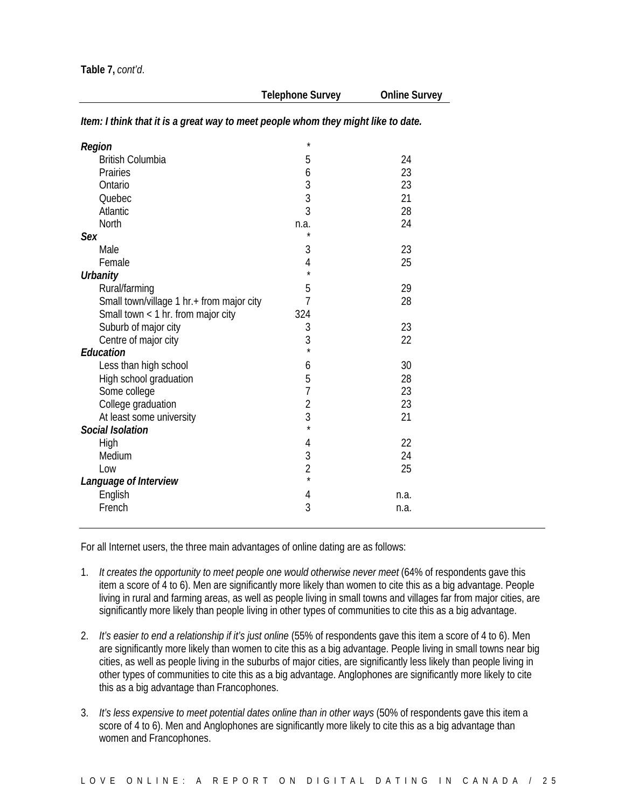| Region                                    | $\star$        |      |
|-------------------------------------------|----------------|------|
| <b>British Columbia</b>                   | 5              | 24   |
| Prairies                                  | 6              | 23   |
| Ontario                                   | $\overline{3}$ | 23   |
| Quebec                                    | 3              | 21   |
| Atlantic                                  | 3              | 28   |
| North                                     | n.a.           | 24   |
| Sex                                       | $\star$        |      |
| Male                                      | 3              | 23   |
| Female                                    | $\overline{4}$ | 25   |
| <b>Urbanity</b>                           | $\star$        |      |
| Rural/farming                             | 5              | 29   |
| Small town/village 1 hr.+ from major city | 7              | 28   |
| Small town < 1 hr. from major city        | 324            |      |
| Suburb of major city                      | 3              | 23   |
| Centre of major city                      | 3              | 22   |
| <b>Education</b>                          | $\star$        |      |
| Less than high school                     | 6              | 30   |
| High school graduation                    | 5              | 28   |
| Some college                              | $\overline{1}$ | 23   |
| College graduation                        | $\overline{c}$ | 23   |
| At least some university                  | 3              | 21   |
| Social Isolation                          | $\star$        |      |
| High                                      | 4              | 22   |
| Medium                                    |                | 24   |
| Low                                       | $\frac{3}{2}$  | 25   |
| Language of Interview                     | $\star$        |      |
| English                                   | 4              | n.a. |
| French                                    | 3              | n.a. |
|                                           |                |      |

*Item: I think that it is a great way to meet people whom they might like to date.*

For all Internet users, the three main advantages of online dating are as follows:

- 1. *It creates the opportunity to meet people one would otherwise never meet* (64% of respondents gave this item a score of 4 to 6). Men are significantly more likely than women to cite this as a big advantage. People living in rural and farming areas, as well as people living in small towns and villages far from major cities, are significantly more likely than people living in other types of communities to cite this as a big advantage.
- 2. *It's easier to end a relationship if it's just online* (55% of respondents gave this item a score of 4 to 6). Men are significantly more likely than women to cite this as a big advantage. People living in small towns near big cities, as well as people living in the suburbs of major cities, are significantly less likely than people living in other types of communities to cite this as a big advantage. Anglophones are significantly more likely to cite this as a big advantage than Francophones.
- 3. *It's less expensive to meet potential dates online than in other ways* (50% of respondents gave this item a score of 4 to 6). Men and Anglophones are significantly more likely to cite this as a big advantage than women and Francophones.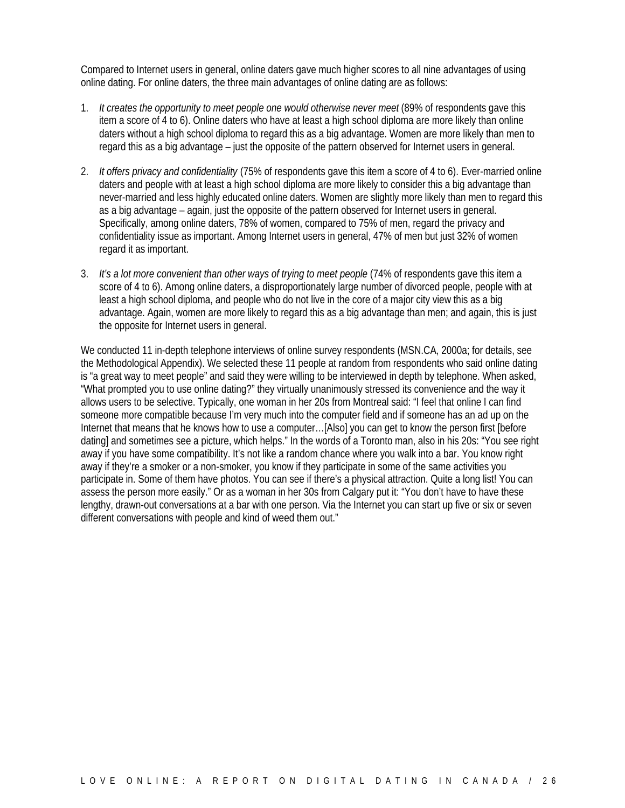Compared to Internet users in general, online daters gave much higher scores to all nine advantages of using online dating. For online daters, the three main advantages of online dating are as follows:

- 1. *It creates the opportunity to meet people one would otherwise never meet* (89% of respondents gave this item a score of 4 to 6). Online daters who have at least a high school diploma are more likely than online daters without a high school diploma to regard this as a big advantage. Women are more likely than men to regard this as a big advantage – just the opposite of the pattern observed for Internet users in general.
- 2. *It offers privacy and confidentiality* (75% of respondents gave this item a score of 4 to 6). Ever-married online daters and people with at least a high school diploma are more likely to consider this a big advantage than never-married and less highly educated online daters. Women are slightly more likely than men to regard this as a big advantage – again, just the opposite of the pattern observed for Internet users in general. Specifically, among online daters, 78% of women, compared to 75% of men, regard the privacy and confidentiality issue as important. Among Internet users in general, 47% of men but just 32% of women regard it as important.
- 3. *It's a lot more convenient than other ways of trying to meet people* (74% of respondents gave this item a score of 4 to 6). Among online daters, a disproportionately large number of divorced people, people with at least a high school diploma, and people who do not live in the core of a major city view this as a big advantage. Again, women are more likely to regard this as a big advantage than men; and again, this is just the opposite for Internet users in general.

We conducted 11 in-depth telephone interviews of online survey respondents (MSN.CA, 2000a; for details, see the Methodological Appendix). We selected these 11 people at random from respondents who said online dating is "a great way to meet people" and said they were willing to be interviewed in depth by telephone. When asked, "What prompted you to use online dating?" they virtually unanimously stressed its convenience and the way it allows users to be selective. Typically, one woman in her 20s from Montreal said: "I feel that online I can find someone more compatible because I'm very much into the computer field and if someone has an ad up on the Internet that means that he knows how to use a computer…[Also] you can get to know the person first [before dating] and sometimes see a picture, which helps." In the words of a Toronto man, also in his 20s: "You see right away if you have some compatibility. It's not like a random chance where you walk into a bar. You know right away if they're a smoker or a non-smoker, you know if they participate in some of the same activities you participate in. Some of them have photos. You can see if there's a physical attraction. Quite a long list! You can assess the person more easily." Or as a woman in her 30s from Calgary put it: "You don't have to have these lengthy, drawn-out conversations at a bar with one person. Via the Internet you can start up five or six or seven different conversations with people and kind of weed them out."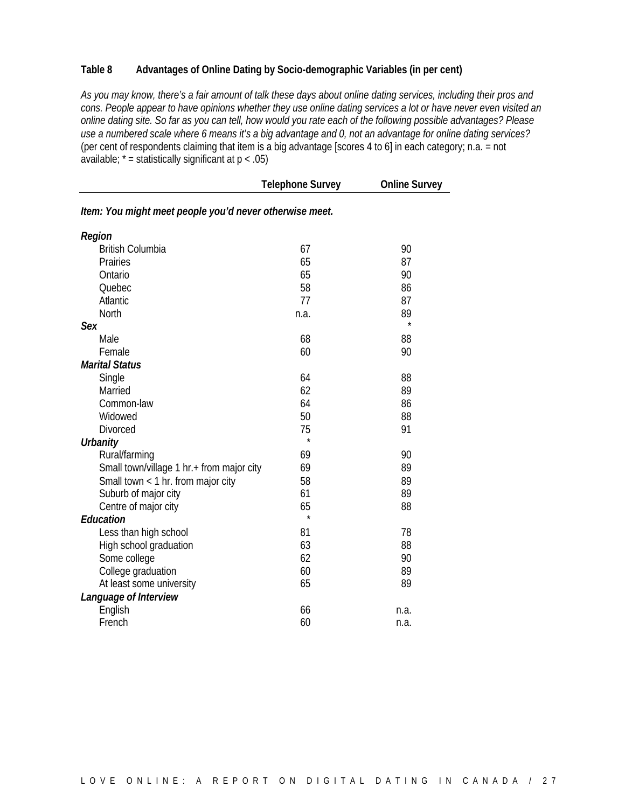#### **Table 8 Advantages of Online Dating by Socio-demographic Variables (in per cent)**

*As you may know, there's a fair amount of talk these days about online dating services, including their pros and cons. People appear to have opinions whether they use online dating services a lot or have never even visited an online dating site. So far as you can tell, how would you rate each of the following possible advantages? Please use a numbered scale where 6 means it's a big advantage and 0, not an advantage for online dating services?* (per cent of respondents claiming that item is a big advantage [scores 4 to 6] in each category; n.a. = not available;  $* =$  statistically significant at  $p < .05$ )

|                                                         | <b>Telephone Survey</b> | <b>Online Survey</b> |
|---------------------------------------------------------|-------------------------|----------------------|
| Item: You might meet people you'd never otherwise meet. |                         |                      |
| Region                                                  |                         |                      |
| <b>British Columbia</b>                                 | 67                      | 90                   |
| Prairies                                                | 65                      | 87                   |
| Ontario                                                 | 65                      | 90                   |
| Quebec                                                  | 58                      | 86                   |
| Atlantic                                                | 77                      | 87                   |
| North                                                   | n.a.                    | 89                   |
| <b>Sex</b>                                              |                         | $\star$              |
| Male                                                    | 68                      | 88                   |
| Female                                                  | 60                      | 90                   |
| <b>Marital Status</b>                                   |                         |                      |
| Single                                                  | 64                      | 88                   |
| Married                                                 | 62                      | 89                   |
| Common-law                                              | 64                      | 86                   |
| Widowed                                                 | 50                      | 88                   |
| <b>Divorced</b>                                         | 75                      | 91                   |
| <b>Urbanity</b>                                         | $\star$                 |                      |
| Rural/farming                                           | 69                      | 90                   |
| Small town/village 1 hr.+ from major city               | 69                      | 89                   |
| Small town $<$ 1 hr. from major city                    | 58                      | 89                   |
| Suburb of major city                                    | 61                      | 89                   |
| Centre of major city                                    | 65                      | 88                   |
| Education                                               | $\star$                 |                      |
| Less than high school                                   | 81                      | 78                   |
| High school graduation                                  | 63                      | 88                   |
| Some college                                            | 62                      | 90                   |
| College graduation                                      | 60                      | 89                   |
| At least some university                                | 65                      | 89                   |
| Language of Interview                                   |                         |                      |
| English                                                 | 66                      | n.a.                 |
| French                                                  | 60                      | n.a.                 |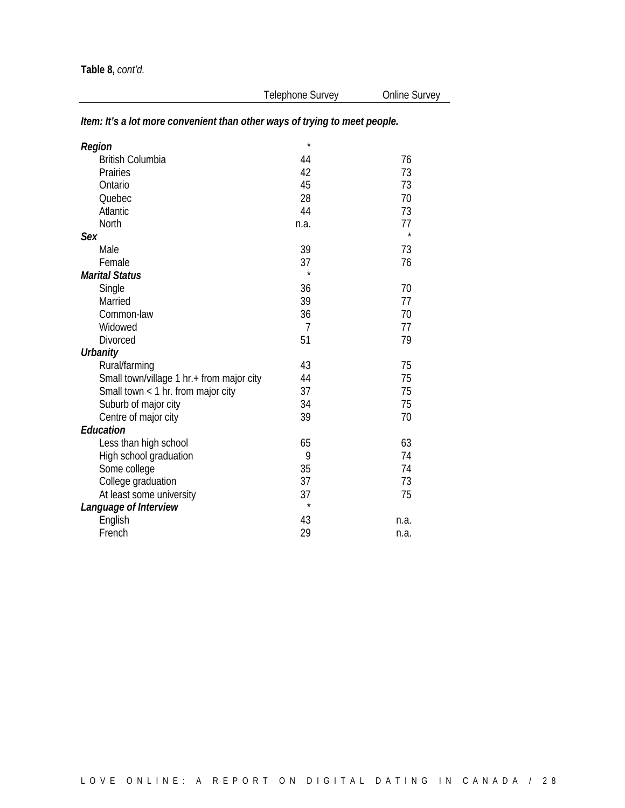| Region                                    | $\star$        |      |
|-------------------------------------------|----------------|------|
| <b>British Columbia</b>                   | 44             | 76   |
| Prairies                                  | 42             | 73   |
| Ontario                                   | 45             | 73   |
| Quebec                                    | 28             | 70   |
| Atlantic                                  | 44             | 73   |
| North                                     | n.a.           | 77   |
| Sex                                       |                |      |
| Male                                      | 39             | 73   |
| Female                                    | 37             | 76   |
| <b>Marital Status</b>                     | $\star$        |      |
| Single                                    | 36             | 70   |
| Married                                   | 39             | 77   |
| Common-law                                | 36             | 70   |
| Widowed                                   | $\overline{7}$ | 77   |
| <b>Divorced</b>                           | 51             | 79   |
| <b>Urbanity</b>                           |                |      |
| Rural/farming                             | 43             | 75   |
| Small town/village 1 hr.+ from major city | 44             | 75   |
| Small town < 1 hr. from major city        | 37             | 75   |
| Suburb of major city                      | 34             | 75   |
| Centre of major city                      | 39             | 70   |
| Education                                 |                |      |
| Less than high school                     | 65             | 63   |
| High school graduation                    | 9              | 74   |
| Some college                              | 35             | 74   |
| College graduation                        | 37             | 73   |
| At least some university                  | 37             | 75   |
| Language of Interview                     | $\star$        |      |
| English                                   | 43             | n.a. |
| French                                    | 29             | n.a. |

### *Item: It's a lot more convenient than other ways of trying to meet people.*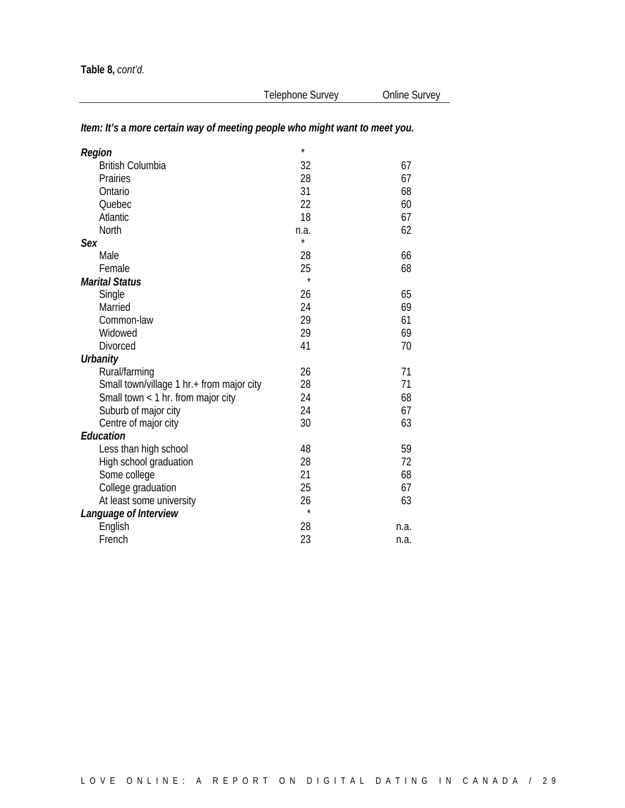### *Item: It's a more certain way of meeting people who might want to meet you.*

| Region                                    | $\star$ |      |
|-------------------------------------------|---------|------|
| <b>British Columbia</b>                   | 32      | 67   |
| Prairies                                  | 28      | 67   |
| Ontario                                   | 31      | 68   |
| Quebec                                    | 22      | 60   |
| Atlantic                                  | 18      | 67   |
| North                                     | n.a.    | 62   |
| Sex                                       | *       |      |
| Male                                      | 28      | 66   |
| Female                                    | 25      | 68   |
| <b>Marital Status</b>                     | $\star$ |      |
| Single                                    | 26      | 65   |
| Married                                   | 24      | 69   |
| Common-law                                | 29      | 61   |
| Widowed                                   | 29      | 69   |
| <b>Divorced</b>                           | 41      | 70   |
| Urbanity                                  |         |      |
| Rural/farming                             | 26      | 71   |
| Small town/village 1 hr.+ from major city | 28      | 71   |
| Small town $<$ 1 hr. from major city      | 24      | 68   |
| Suburb of major city                      | 24      | 67   |
| Centre of major city                      | 30      | 63   |
| Education                                 |         |      |
| Less than high school                     | 48      | 59   |
| High school graduation                    | 28      | 72   |
| Some college                              | 21      | 68   |
| College graduation                        | 25      | 67   |
| At least some university                  | 26      | 63   |
| Language of Interview                     | $\star$ |      |
| English                                   | 28      | n.a. |
| French                                    | 23      | n.a. |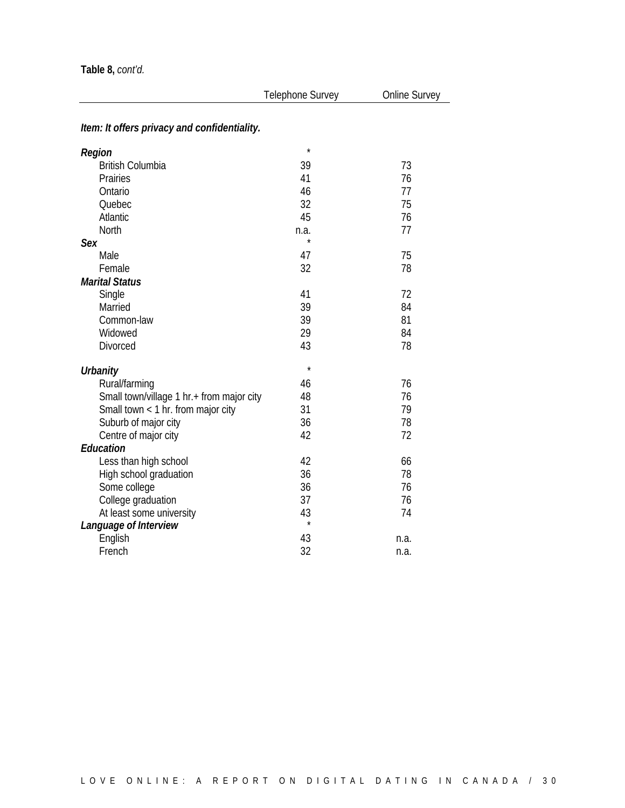| Item: It offers privacy and confidentiality.<br>$\star$<br>Region<br><b>British Columbia</b><br>39<br>73<br>41<br>76<br>Prairies<br>77<br>46<br>Ontario<br>32<br>75<br>Quebec<br>45<br>76<br>Atlantic<br>77<br>North<br>n.a.<br>$\star$<br>Sex<br>75<br>Male<br>47<br>32<br>78<br>Female<br><b>Marital Status</b><br>72<br>41<br>Single<br>39<br>84<br>Married<br>81<br>39<br>Common-law<br>29<br>84<br>Widowed<br>43<br>Divorced<br>78<br>$\star$<br><b>Urbanity</b><br>76<br>Rural/farming<br>46<br>76<br>Small town/village 1 hr.+ from major city<br>48<br>Small town < 1 hr. from major city<br>31<br>79<br>36<br>Suburb of major city<br>78<br>42<br>72<br>Centre of major city<br>Education<br>Less than high school<br>42<br>66<br>High school graduation<br>36<br>78<br>36<br>Some college<br>76<br>37<br>College graduation<br>76<br>43<br>At least some university<br>74<br>$\star$<br>Language of Interview<br>English<br>43<br>n.a. | Telephone Survey | Online Survey |
|--------------------------------------------------------------------------------------------------------------------------------------------------------------------------------------------------------------------------------------------------------------------------------------------------------------------------------------------------------------------------------------------------------------------------------------------------------------------------------------------------------------------------------------------------------------------------------------------------------------------------------------------------------------------------------------------------------------------------------------------------------------------------------------------------------------------------------------------------------------------------------------------------------------------------------------------------|------------------|---------------|
|                                                                                                                                                                                                                                                                                                                                                                                                                                                                                                                                                                                                                                                                                                                                                                                                                                                                                                                                                  |                  |               |
|                                                                                                                                                                                                                                                                                                                                                                                                                                                                                                                                                                                                                                                                                                                                                                                                                                                                                                                                                  |                  |               |
|                                                                                                                                                                                                                                                                                                                                                                                                                                                                                                                                                                                                                                                                                                                                                                                                                                                                                                                                                  |                  |               |
|                                                                                                                                                                                                                                                                                                                                                                                                                                                                                                                                                                                                                                                                                                                                                                                                                                                                                                                                                  |                  |               |
|                                                                                                                                                                                                                                                                                                                                                                                                                                                                                                                                                                                                                                                                                                                                                                                                                                                                                                                                                  |                  |               |
|                                                                                                                                                                                                                                                                                                                                                                                                                                                                                                                                                                                                                                                                                                                                                                                                                                                                                                                                                  |                  |               |
|                                                                                                                                                                                                                                                                                                                                                                                                                                                                                                                                                                                                                                                                                                                                                                                                                                                                                                                                                  |                  |               |
|                                                                                                                                                                                                                                                                                                                                                                                                                                                                                                                                                                                                                                                                                                                                                                                                                                                                                                                                                  |                  |               |
|                                                                                                                                                                                                                                                                                                                                                                                                                                                                                                                                                                                                                                                                                                                                                                                                                                                                                                                                                  |                  |               |
|                                                                                                                                                                                                                                                                                                                                                                                                                                                                                                                                                                                                                                                                                                                                                                                                                                                                                                                                                  |                  |               |
|                                                                                                                                                                                                                                                                                                                                                                                                                                                                                                                                                                                                                                                                                                                                                                                                                                                                                                                                                  |                  |               |
|                                                                                                                                                                                                                                                                                                                                                                                                                                                                                                                                                                                                                                                                                                                                                                                                                                                                                                                                                  |                  |               |
|                                                                                                                                                                                                                                                                                                                                                                                                                                                                                                                                                                                                                                                                                                                                                                                                                                                                                                                                                  |                  |               |
|                                                                                                                                                                                                                                                                                                                                                                                                                                                                                                                                                                                                                                                                                                                                                                                                                                                                                                                                                  |                  |               |
|                                                                                                                                                                                                                                                                                                                                                                                                                                                                                                                                                                                                                                                                                                                                                                                                                                                                                                                                                  |                  |               |
|                                                                                                                                                                                                                                                                                                                                                                                                                                                                                                                                                                                                                                                                                                                                                                                                                                                                                                                                                  |                  |               |
|                                                                                                                                                                                                                                                                                                                                                                                                                                                                                                                                                                                                                                                                                                                                                                                                                                                                                                                                                  |                  |               |
|                                                                                                                                                                                                                                                                                                                                                                                                                                                                                                                                                                                                                                                                                                                                                                                                                                                                                                                                                  |                  |               |
|                                                                                                                                                                                                                                                                                                                                                                                                                                                                                                                                                                                                                                                                                                                                                                                                                                                                                                                                                  |                  |               |
|                                                                                                                                                                                                                                                                                                                                                                                                                                                                                                                                                                                                                                                                                                                                                                                                                                                                                                                                                  |                  |               |
|                                                                                                                                                                                                                                                                                                                                                                                                                                                                                                                                                                                                                                                                                                                                                                                                                                                                                                                                                  |                  |               |
|                                                                                                                                                                                                                                                                                                                                                                                                                                                                                                                                                                                                                                                                                                                                                                                                                                                                                                                                                  |                  |               |
|                                                                                                                                                                                                                                                                                                                                                                                                                                                                                                                                                                                                                                                                                                                                                                                                                                                                                                                                                  |                  |               |
|                                                                                                                                                                                                                                                                                                                                                                                                                                                                                                                                                                                                                                                                                                                                                                                                                                                                                                                                                  |                  |               |
|                                                                                                                                                                                                                                                                                                                                                                                                                                                                                                                                                                                                                                                                                                                                                                                                                                                                                                                                                  |                  |               |
|                                                                                                                                                                                                                                                                                                                                                                                                                                                                                                                                                                                                                                                                                                                                                                                                                                                                                                                                                  |                  |               |
|                                                                                                                                                                                                                                                                                                                                                                                                                                                                                                                                                                                                                                                                                                                                                                                                                                                                                                                                                  |                  |               |
|                                                                                                                                                                                                                                                                                                                                                                                                                                                                                                                                                                                                                                                                                                                                                                                                                                                                                                                                                  |                  |               |
|                                                                                                                                                                                                                                                                                                                                                                                                                                                                                                                                                                                                                                                                                                                                                                                                                                                                                                                                                  |                  |               |
|                                                                                                                                                                                                                                                                                                                                                                                                                                                                                                                                                                                                                                                                                                                                                                                                                                                                                                                                                  |                  |               |
|                                                                                                                                                                                                                                                                                                                                                                                                                                                                                                                                                                                                                                                                                                                                                                                                                                                                                                                                                  |                  |               |
|                                                                                                                                                                                                                                                                                                                                                                                                                                                                                                                                                                                                                                                                                                                                                                                                                                                                                                                                                  |                  |               |
| 32<br>French<br>n.a.                                                                                                                                                                                                                                                                                                                                                                                                                                                                                                                                                                                                                                                                                                                                                                                                                                                                                                                             |                  |               |

#### LOVE ONLINE: A REPORT ON DIGITAL DATING IN CANADA / 3 0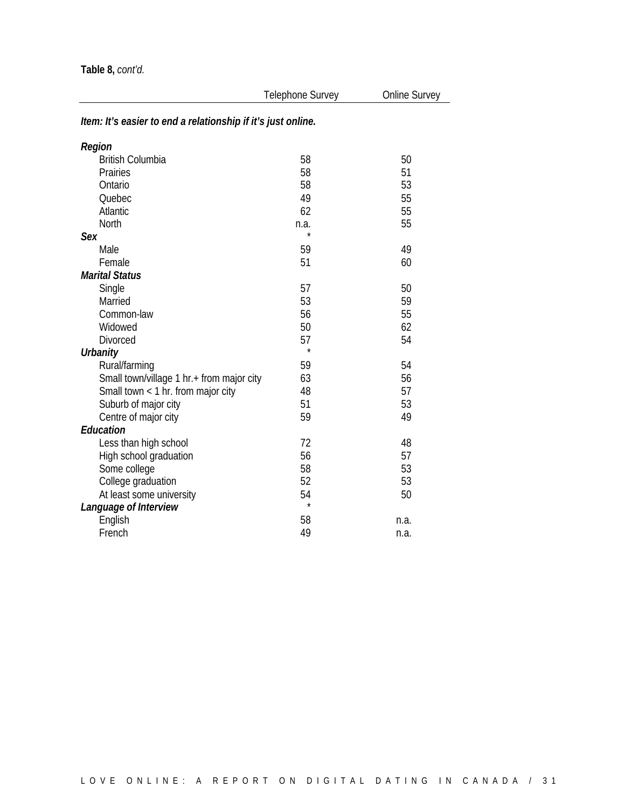### *Item: It's easier to end a relationship if it's just online.*

| Region                                    |         |      |
|-------------------------------------------|---------|------|
| <b>British Columbia</b>                   | 58      | 50   |
| Prairies                                  | 58      | 51   |
| Ontario                                   | 58      | 53   |
| Quebec                                    | 49      | 55   |
| Atlantic                                  | 62      | 55   |
| North                                     | n.a.    | 55   |
| Sex                                       | $\star$ |      |
| Male                                      | 59      | 49   |
| Female                                    | 51      | 60   |
| <b>Marital Status</b>                     |         |      |
| Single                                    | 57      | 50   |
| Married                                   | 53      | 59   |
| Common-law                                | 56      | 55   |
| Widowed                                   | 50      | 62   |
| <b>Divorced</b>                           | 57      | 54   |
| <b>Urbanity</b>                           | $\star$ |      |
| Rural/farming                             | 59      | 54   |
| Small town/village 1 hr.+ from major city | 63      | 56   |
| Small town < 1 hr. from major city        | 48      | 57   |
| Suburb of major city                      | 51      | 53   |
| Centre of major city                      | 59      | 49   |
| <b>Education</b>                          |         |      |
| Less than high school                     | 72      | 48   |
| High school graduation                    | 56      | 57   |
| Some college                              | 58      | 53   |
| College graduation                        | 52      | 53   |
| At least some university                  | 54      | 50   |
| Language of Interview                     | $\star$ |      |
| English                                   | 58      | n.a. |
| French                                    | 49      | n.a. |
|                                           |         |      |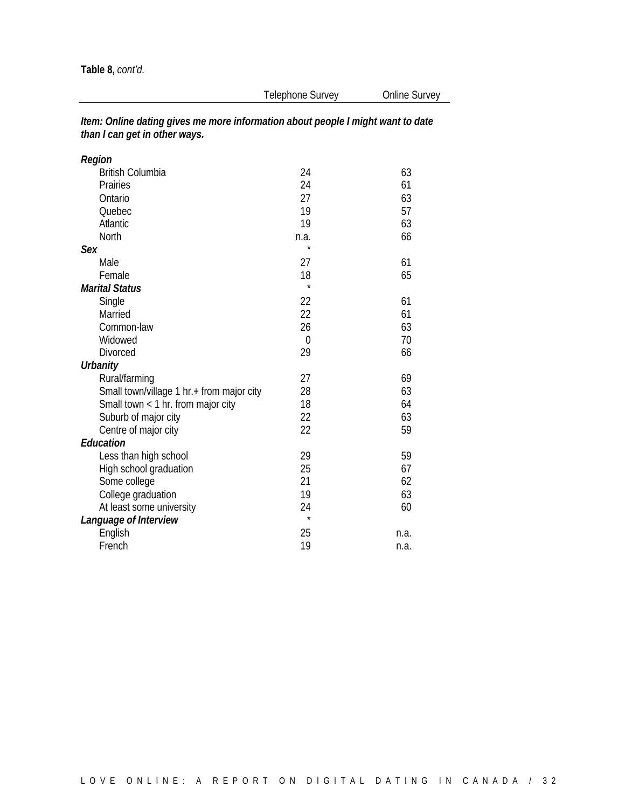| Region                                    |          |      |
|-------------------------------------------|----------|------|
| <b>British Columbia</b>                   | 24       | 63   |
| Prairies                                  | 24       | 61   |
| Ontario                                   | 27       | 63   |
| Quebec                                    | 19       | 57   |
| Atlantic                                  | 19       | 63   |
| North                                     | n.a.     | 66   |
| Sex                                       | $\star$  |      |
| Male                                      | 27       | 61   |
| Female                                    | 18       | 65   |
| <b>Marital Status</b>                     | $\star$  |      |
| Single                                    | 22       | 61   |
| Married                                   | 22       | 61   |
| Common-law                                | 26       | 63   |
| Widowed                                   | $\theta$ | 70   |
| Divorced                                  | 29       | 66   |
| <b>Urbanity</b>                           |          |      |
| Rural/farming                             | 27       | 69   |
| Small town/village 1 hr.+ from major city | 28       | 63   |
| Small town $<$ 1 hr. from major city      | 18       | 64   |
| Suburb of major city                      | 22       | 63   |
| Centre of major city                      | 22       | 59   |
| Education                                 |          |      |
| Less than high school                     | 29       | 59   |
| High school graduation                    | 25       | 67   |
| Some college                              | 21       | 62   |
| College graduation                        | 19       | 63   |
| At least some university                  | 24       | 60   |
| Language of Interview                     | $\star$  |      |
| English                                   | 25       | n.a. |
| French                                    | 19       | n.a. |

*Item: Online dating gives me more information about people I might want to date than I can get in other ways.*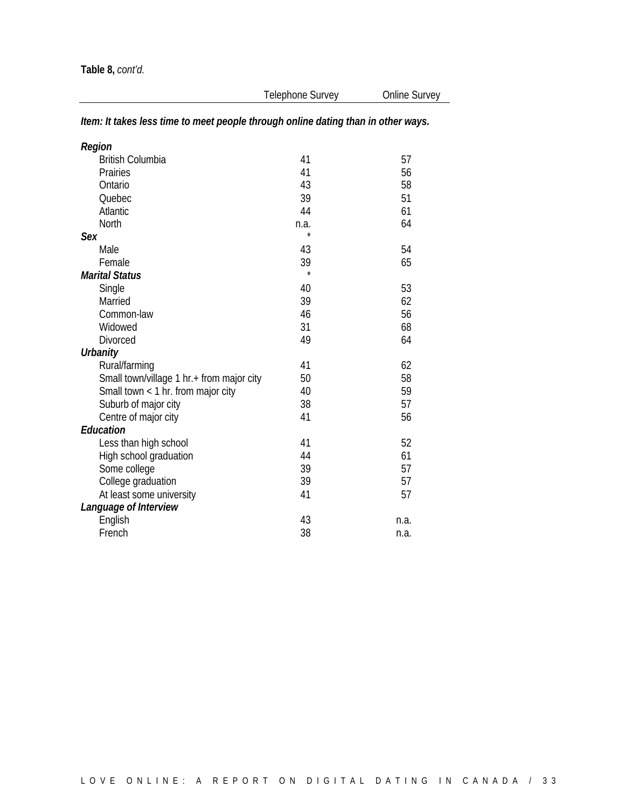| Region                                    |         |      |
|-------------------------------------------|---------|------|
| <b>British Columbia</b>                   | 41      | 57   |
| Prairies                                  | 41      | 56   |
| Ontario                                   | 43      | 58   |
| Quebec                                    | 39      | 51   |
| Atlantic                                  | 44      | 61   |
| North                                     | n.a.    | 64   |
| Sex                                       |         |      |
| Male                                      | 43      | 54   |
| Female                                    | 39      | 65   |
| <b>Marital Status</b>                     | $\star$ |      |
| Single                                    | 40      | 53   |
| Married                                   | 39      | 62   |
| Common-law                                | 46      | 56   |
| Widowed                                   | 31      | 68   |
| <b>Divorced</b>                           | 49      | 64   |
| <b>Urbanity</b>                           |         |      |
| Rural/farming                             | 41      | 62   |
| Small town/village 1 hr.+ from major city | 50      | 58   |
| Small town $<$ 1 hr. from major city      | 40      | 59   |
| Suburb of major city                      | 38      | 57   |
| Centre of major city                      | 41      | 56   |
| <b>Education</b>                          |         |      |
| Less than high school                     | 41      | 52   |
| High school graduation                    | 44      | 61   |
| Some college                              | 39      | 57   |
| College graduation                        | 39      | 57   |
| At least some university                  | 41      | 57   |
| Language of Interview                     |         |      |
| English                                   | 43      | n.a. |
| French                                    | 38      | n.a. |

### *Item: It takes less time to meet people through online dating than in other ways.*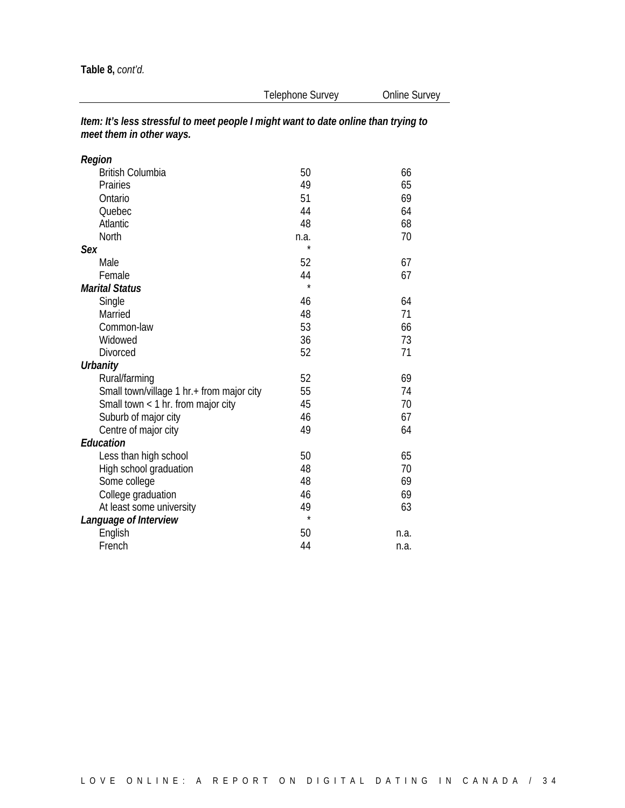| Region                                    |         |      |
|-------------------------------------------|---------|------|
| <b>British Columbia</b>                   | 50      | 66   |
| Prairies                                  | 49      | 65   |
| Ontario                                   | 51      | 69   |
| Quebec                                    | 44      | 64   |
| Atlantic                                  | 48      | 68   |
| North                                     | n.a.    | 70   |
| Sex                                       | ÷       |      |
| Male                                      | 52      | 67   |
| Female                                    | 44      | 67   |
| <b>Marital Status</b>                     | $\star$ |      |
| Single                                    | 46      | 64   |
| Married                                   | 48      | 71   |
| Common-law                                | 53      | 66   |
| Widowed                                   | 36      | 73   |
| <b>Divorced</b>                           | 52      | 71   |
| Urbanity                                  |         |      |
| Rural/farming                             | 52      | 69   |
| Small town/village 1 hr.+ from major city | 55      | 74   |
| Small town < 1 hr. from major city        | 45      | 70   |
| Suburb of major city                      | 46      | 67   |
| Centre of major city                      | 49      | 64   |
| <b>Education</b>                          |         |      |
| Less than high school                     | 50      | 65   |
| High school graduation                    | 48      | 70   |
| Some college                              | 48      | 69   |
| College graduation                        | 46      | 69   |
| At least some university                  | 49      | 63   |
| Language of Interview                     | $\star$ |      |
| English                                   | 50      | n.a. |
| French                                    | 44      | n.a. |

*Item: It's less stressful to meet people I might want to date online than trying to meet them in other ways.*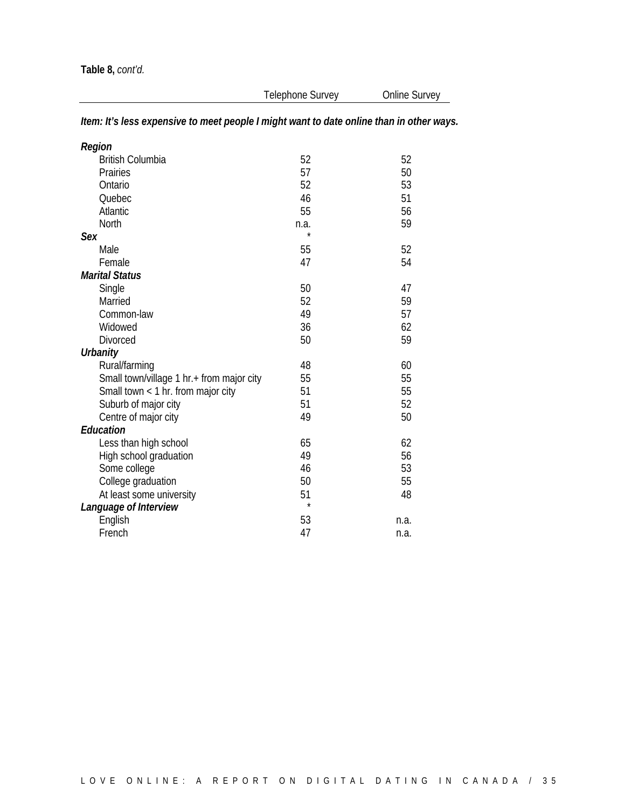### *Item: It's less expensive to meet people I might want to date online than in other ways.*

| Region                                    |         |      |
|-------------------------------------------|---------|------|
| <b>British Columbia</b>                   | 52      | 52   |
| Prairies                                  | 57      | 50   |
| Ontario                                   | 52      | 53   |
| Quebec                                    | 46      | 51   |
| Atlantic                                  | 55      | 56   |
| North                                     | n.a.    | 59   |
| Sex                                       | $\star$ |      |
| Male                                      | 55      | 52   |
| Female                                    | 47      | 54   |
| <b>Marital Status</b>                     |         |      |
| Single                                    | 50      | 47   |
| Married                                   | 52      | 59   |
| Common-law                                | 49      | 57   |
| Widowed                                   | 36      | 62   |
| <b>Divorced</b>                           | 50      | 59   |
| <b>Urbanity</b>                           |         |      |
| Rural/farming                             | 48      | 60   |
| Small town/village 1 hr.+ from major city | 55      | 55   |
| Small town $<$ 1 hr. from major city      | 51      | 55   |
| Suburb of major city                      | 51      | 52   |
| Centre of major city                      | 49      | 50   |
| Education                                 |         |      |
| Less than high school                     | 65      | 62   |
| High school graduation                    | 49      | 56   |
| Some college                              | 46      | 53   |
| College graduation                        | 50      | 55   |
| At least some university                  | 51      | 48   |
| Language of Interview                     | $\star$ |      |
| English                                   | 53      | n.a. |
| French                                    | 47      | n.a. |
|                                           |         |      |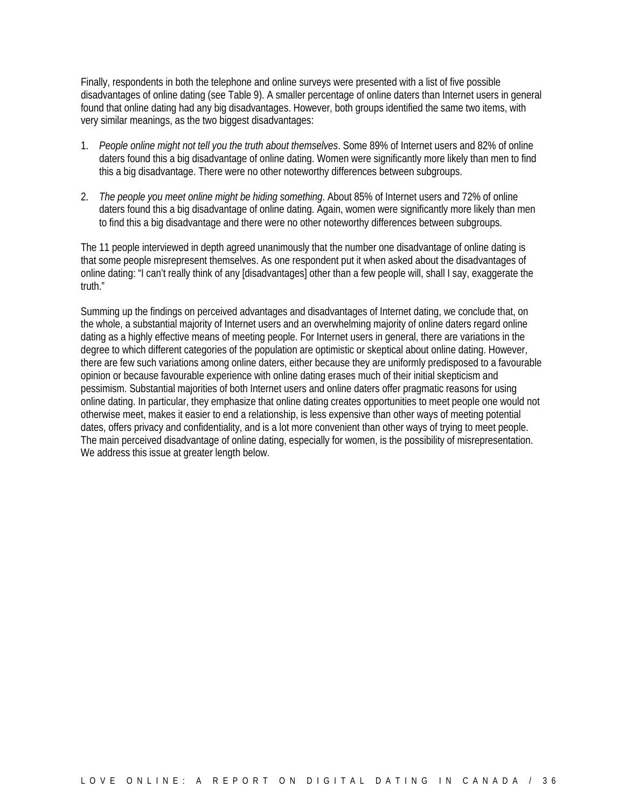Finally, respondents in both the telephone and online surveys were presented with a list of five possible disadvantages of online dating (see Table 9). A smaller percentage of online daters than Internet users in general found that online dating had any big disadvantages. However, both groups identified the same two items, with very similar meanings, as the two biggest disadvantages:

- 1. *People online might not tell you the truth about themselves*. Some 89% of Internet users and 82% of online daters found this a big disadvantage of online dating. Women were significantly more likely than men to find this a big disadvantage. There were no other noteworthy differences between subgroups.
- 2. *The people you meet online might be hiding something*. About 85% of Internet users and 72% of online daters found this a big disadvantage of online dating. Again, women were significantly more likely than men to find this a big disadvantage and there were no other noteworthy differences between subgroups.

The 11 people interviewed in depth agreed unanimously that the number one disadvantage of online dating is that some people misrepresent themselves. As one respondent put it when asked about the disadvantages of online dating: "I can't really think of any [disadvantages] other than a few people will, shall I say, exaggerate the truth."

Summing up the findings on perceived advantages and disadvantages of Internet dating, we conclude that, on the whole, a substantial majority of Internet users and an overwhelming majority of online daters regard online dating as a highly effective means of meeting people. For Internet users in general, there are variations in the degree to which different categories of the population are optimistic or skeptical about online dating. However, there are few such variations among online daters, either because they are uniformly predisposed to a favourable opinion or because favourable experience with online dating erases much of their initial skepticism and pessimism. Substantial majorities of both Internet users and online daters offer pragmatic reasons for using online dating. In particular, they emphasize that online dating creates opportunities to meet people one would not otherwise meet, makes it easier to end a relationship, is less expensive than other ways of meeting potential dates, offers privacy and confidentiality, and is a lot more convenient than other ways of trying to meet people. The main perceived disadvantage of online dating, especially for women, is the possibility of misrepresentation. We address this issue at greater length below.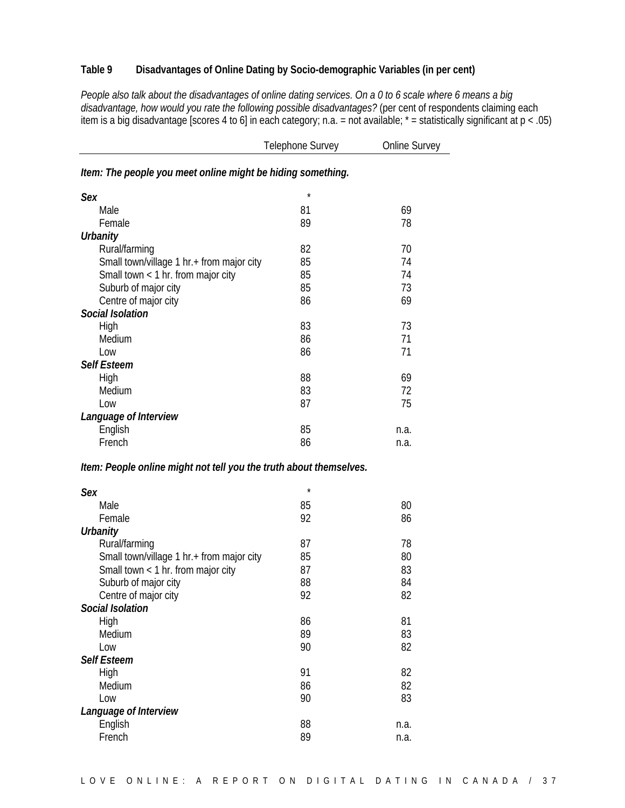#### **Table 9 Disadvantages of Online Dating by Socio-demographic Variables (in per cent)**

*People also talk about the disadvantages of online dating services. On a 0 to 6 scale where 6 means a big disadvantage, how would you rate the following possible disadvantages?* (per cent of respondents claiming each item is a big disadvantage [scores 4 to 6] in each category; n.a. = not available; \* = statistically significant at p < .05)

|                                                                    | <b>Telephone Survey</b> | Online Survey |
|--------------------------------------------------------------------|-------------------------|---------------|
| Item: The people you meet online might be hiding something.        |                         |               |
| Sex                                                                | $\star$                 |               |
| Male                                                               | 81                      | 69            |
| Female                                                             | 89                      | 78            |
| <b>Urbanity</b>                                                    |                         |               |
|                                                                    |                         |               |
| Rural/farming                                                      | 82                      | 70            |
| Small town/village 1 hr.+ from major city                          | 85                      | 74            |
| Small town $<$ 1 hr. from major city                               | 85                      | 74            |
| Suburb of major city                                               | 85                      | 73            |
| Centre of major city                                               | 86                      | 69            |
| <b>Social Isolation</b>                                            |                         |               |
| High                                                               | 83                      | 73            |
| Medium                                                             | 86                      | 71            |
| Low                                                                | 86                      | 71            |
|                                                                    |                         |               |
| <b>Self Esteem</b>                                                 |                         |               |
| High                                                               | 88                      | 69            |
| Medium                                                             | 83                      | 72            |
| Low                                                                | 87                      | 75            |
| Language of Interview                                              |                         |               |
| English                                                            | 85                      | n.a.          |
| French                                                             | 86                      | n.a.          |
| Item: People online might not tell you the truth about themselves. |                         |               |
| <b>Sex</b>                                                         | $\star$                 |               |
| Male                                                               | 85                      | 80            |
| Female                                                             | 92                      | 86            |
| <b>Urbanity</b>                                                    |                         |               |
| Rural/farming                                                      | 87                      | 78            |
| Small town/village 1 hr.+ from major city                          | 85                      | 80            |
| Small town $<$ 1 hr. from major city                               | 87                      | 83            |
| Suburb of major city                                               | 88                      | 84            |
|                                                                    | 92                      | 82            |
| Centre of major city                                               |                         |               |
| Social Isolation                                                   |                         |               |
| High                                                               | 86                      | 81            |
| Medium                                                             | 89                      | 83            |
| Low                                                                | 90                      | 82            |
| <b>Self Esteem</b>                                                 |                         |               |
| High                                                               | 91                      | 82            |
| Medium                                                             | 86                      | 82            |
| Low                                                                | 90                      | 83            |
| Language of Interview                                              |                         |               |
|                                                                    |                         |               |
| English                                                            | 88                      | n.a.          |
| French                                                             | 89                      | n.a.          |
|                                                                    |                         |               |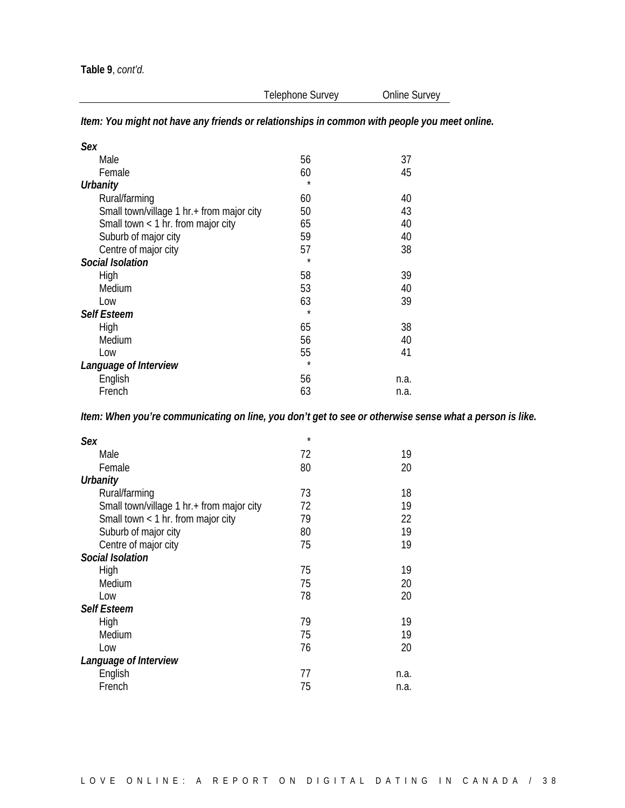*Item: You might not have any friends or relationships in common with people you meet online.*

| Sex                                       |         |      |
|-------------------------------------------|---------|------|
| Male                                      | 56      | 37   |
| Female                                    | 60      | 45   |
| Urbanity                                  | $\star$ |      |
| Rural/farming                             | 60      | 40   |
| Small town/village 1 hr.+ from major city | 50      | 43   |
| Small town < 1 hr. from major city        | 65      | 40   |
| Suburb of major city                      | 59      | 40   |
| Centre of major city                      | 57      | 38   |
| <b>Social Isolation</b>                   | $\star$ |      |
| High                                      | 58      | 39   |
| Medium                                    | 53      | 40   |
| Low                                       | 63      | 39   |
| <b>Self Esteem</b>                        | $\star$ |      |
| High                                      | 65      | 38   |
| Medium                                    | 56      | 40   |
| Low                                       | 55      | 41   |
| Language of Interview                     | $\star$ |      |
| English                                   | 56      | n.a. |
| French                                    | 63      | n.a. |

*Item: When you're communicating on line, you don't get to see or otherwise sense what a person is like.*

| Sex                                       | $\star$ |      |
|-------------------------------------------|---------|------|
| Male                                      | 72      | 19   |
| Female                                    | 80      | 20   |
| <b>Urbanity</b>                           |         |      |
| Rural/farming                             | 73      | 18   |
| Small town/village 1 hr.+ from major city | 72      | 19   |
| Small town $<$ 1 hr. from major city      | 79      | 22   |
| Suburb of major city                      | 80      | 19   |
| Centre of major city                      | 75      | 19   |
| <b>Social Isolation</b>                   |         |      |
| High                                      | 75      | 19   |
| Medium                                    | 75      | 20   |
| Low                                       | 78      | 20   |
| <b>Self Esteem</b>                        |         |      |
| High                                      | 79      | 19   |
| Medium                                    | 75      | 19   |
| Low                                       | 76      | 20   |
| Language of Interview                     |         |      |
| English                                   | 77      | n.a. |
| French                                    | 75      | n.a. |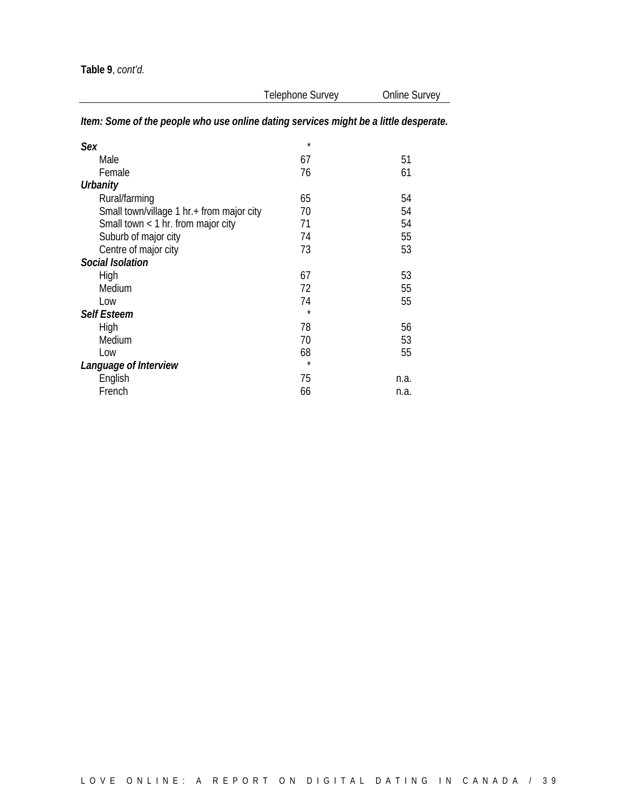| Telephone Survey                                                                     | Online Survey                             |  |  |
|--------------------------------------------------------------------------------------|-------------------------------------------|--|--|
| Item: Some of the people who use online dating services might be a little desperate. |                                           |  |  |
| $\star$                                                                              |                                           |  |  |
| 67                                                                                   | 51                                        |  |  |
| 76                                                                                   | 61                                        |  |  |
|                                                                                      |                                           |  |  |
| 65                                                                                   | 54                                        |  |  |
| 70                                                                                   | 54                                        |  |  |
| 71                                                                                   | 54                                        |  |  |
| 74                                                                                   | 55                                        |  |  |
| 73                                                                                   | 53                                        |  |  |
|                                                                                      |                                           |  |  |
| 67                                                                                   | 53                                        |  |  |
| 72                                                                                   | 55                                        |  |  |
| 74                                                                                   | 55                                        |  |  |
| $\star$                                                                              |                                           |  |  |
| 78                                                                                   | 56                                        |  |  |
| 70                                                                                   | 53                                        |  |  |
| 68                                                                                   | 55                                        |  |  |
| $\star$                                                                              |                                           |  |  |
| 75                                                                                   | n.a.                                      |  |  |
| 66                                                                                   | n.a.                                      |  |  |
|                                                                                      | Small town/village 1 hr.+ from major city |  |  |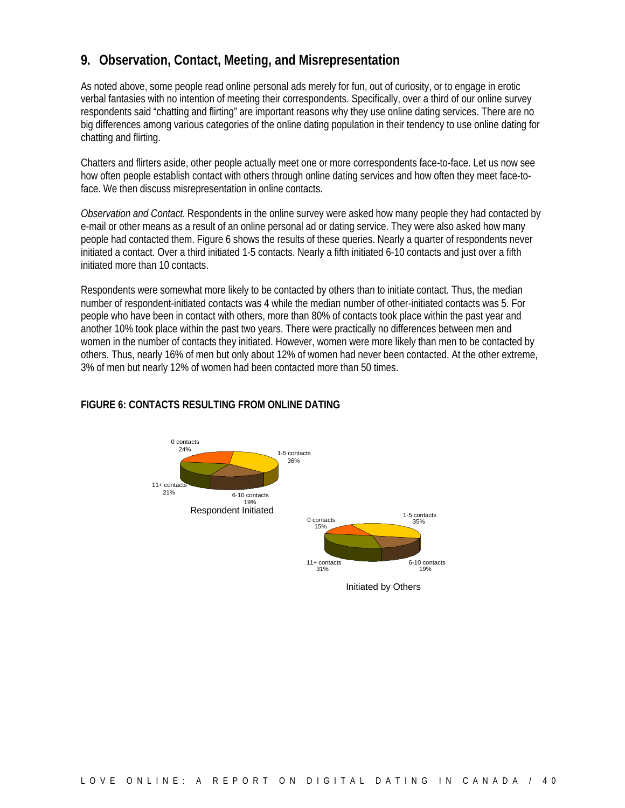### **9. Observation, Contact, Meeting, and Misrepresentation**

As noted above, some people read online personal ads merely for fun, out of curiosity, or to engage in erotic verbal fantasies with no intention of meeting their correspondents. Specifically, over a third of our online survey respondents said "chatting and flirting" are important reasons why they use online dating services. There are no big differences among various categories of the online dating population in their tendency to use online dating for chatting and flirting.

Chatters and flirters aside, other people actually meet one or more correspondents face-to-face. Let us now see how often people establish contact with others through online dating services and how often they meet face-toface. We then discuss misrepresentation in online contacts.

*Observation and Contact*. Respondents in the online survey were asked how many people they had contacted by e-mail or other means as a result of an online personal ad or dating service. They were also asked how many people had contacted them. Figure 6 shows the results of these queries. Nearly a quarter of respondents never initiated a contact. Over a third initiated 1-5 contacts. Nearly a fifth initiated 6-10 contacts and just over a fifth initiated more than 10 contacts.

Respondents were somewhat more likely to be contacted by others than to initiate contact. Thus, the median number of respondent-initiated contacts was 4 while the median number of other-initiated contacts was 5. For people who have been in contact with others, more than 80% of contacts took place within the past year and another 10% took place within the past two years. There were practically no differences between men and women in the number of contacts they initiated. However, women were more likely than men to be contacted by others. Thus, nearly 16% of men but only about 12% of women had never been contacted. At the other extreme, 3% of men but nearly 12% of women had been contacted more than 50 times.



#### **FIGURE 6: CONTACTS RESULTING FROM ONLINE DATING**

Initiated by Others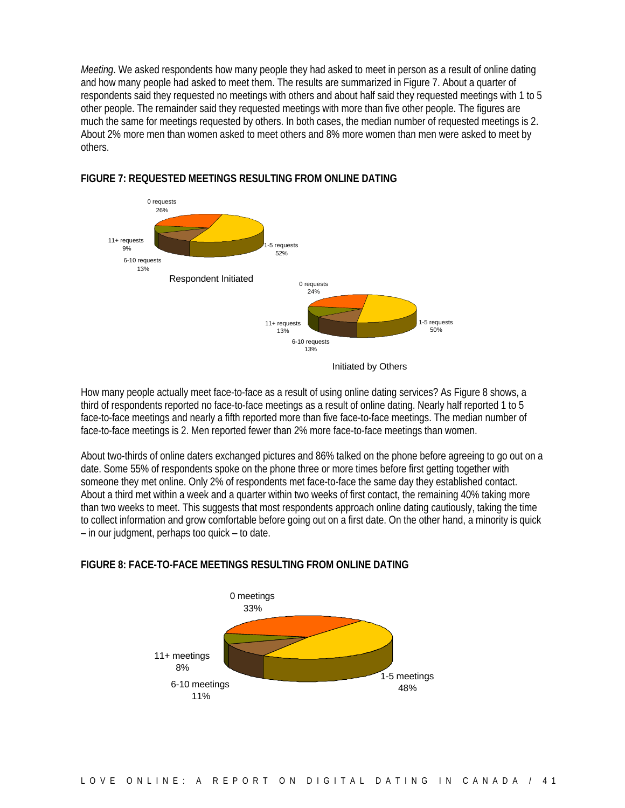*Meeting*. We asked respondents how many people they had asked to meet in person as a result of online dating and how many people had asked to meet them. The results are summarized in Figure 7. About a quarter of respondents said they requested no meetings with others and about half said they requested meetings with 1 to 5 other people. The remainder said they requested meetings with more than five other people. The figures are much the same for meetings requested by others. In both cases, the median number of requested meetings is 2. About 2% more men than women asked to meet others and 8% more women than men were asked to meet by others.



#### **FIGURE 7: REQUESTED MEETINGS RESULTING FROM ONLINE DATING**

How many people actually meet face-to-face as a result of using online dating services? As Figure 8 shows, a third of respondents reported no face-to-face meetings as a result of online dating. Nearly half reported 1 to 5 face-to-face meetings and nearly a fifth reported more than five face-to-face meetings. The median number of face-to-face meetings is 2. Men reported fewer than 2% more face-to-face meetings than women.

About two-thirds of online daters exchanged pictures and 86% talked on the phone before agreeing to go out on a date. Some 55% of respondents spoke on the phone three or more times before first getting together with someone they met online. Only 2% of respondents met face-to-face the same day they established contact. About a third met within a week and a quarter within two weeks of first contact, the remaining 40% taking more than two weeks to meet. This suggests that most respondents approach online dating cautiously, taking the time to collect information and grow comfortable before going out on a first date. On the other hand, a minority is quick – in our judgment, perhaps too quick – to date.

#### **FIGURE 8: FACE-TO-FACE MEETINGS RESULTING FROM ONLINE DATING**

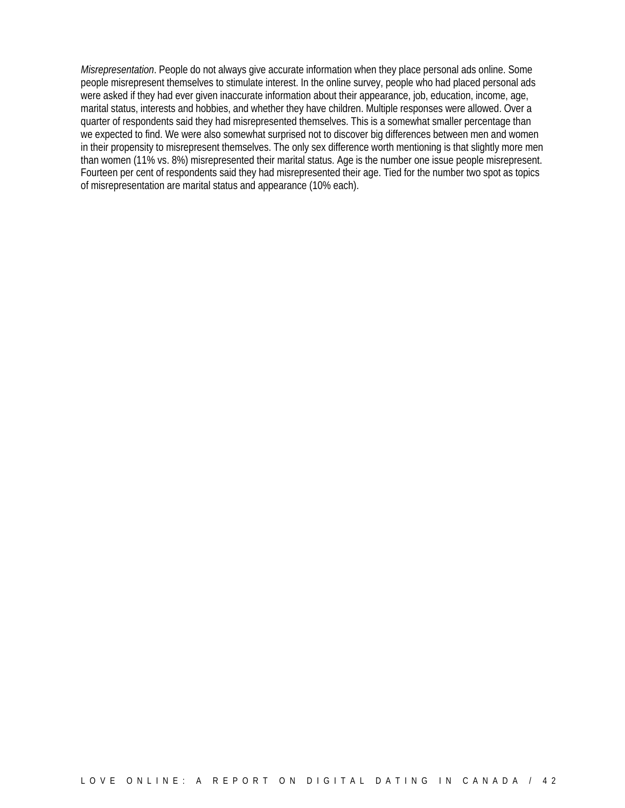*Misrepresentation*. People do not always give accurate information when they place personal ads online. Some people misrepresent themselves to stimulate interest. In the online survey, people who had placed personal ads were asked if they had ever given inaccurate information about their appearance, job, education, income, age, marital status, interests and hobbies, and whether they have children. Multiple responses were allowed. Over a quarter of respondents said they had misrepresented themselves. This is a somewhat smaller percentage than we expected to find. We were also somewhat surprised not to discover big differences between men and women in their propensity to misrepresent themselves. The only sex difference worth mentioning is that slightly more men than women (11% vs. 8%) misrepresented their marital status. Age is the number one issue people misrepresent. Fourteen per cent of respondents said they had misrepresented their age. Tied for the number two spot as topics of misrepresentation are marital status and appearance (10% each).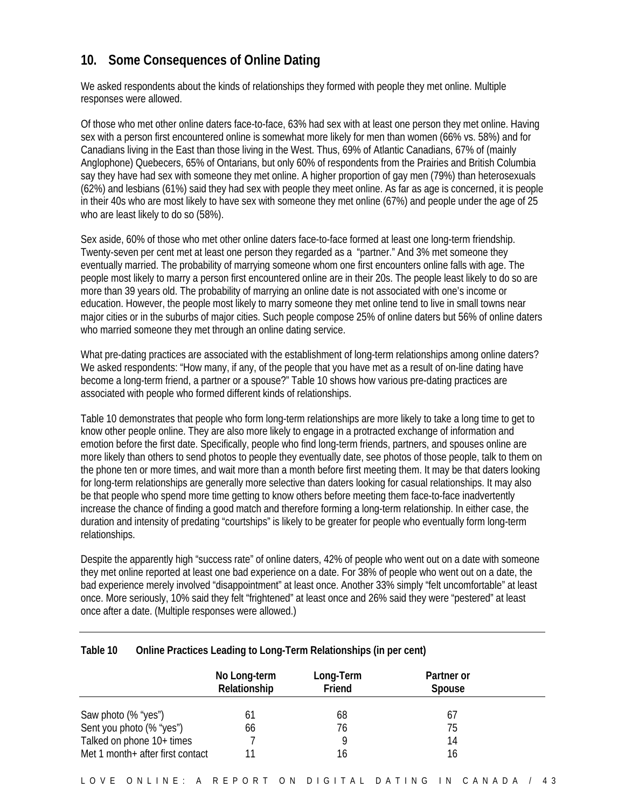### **10. Some Consequences of Online Dating**

We asked respondents about the kinds of relationships they formed with people they met online. Multiple responses were allowed.

Of those who met other online daters face-to-face, 63% had sex with at least one person they met online. Having sex with a person first encountered online is somewhat more likely for men than women (66% vs. 58%) and for Canadians living in the East than those living in the West. Thus, 69% of Atlantic Canadians, 67% of (mainly Anglophone) Quebecers, 65% of Ontarians, but only 60% of respondents from the Prairies and British Columbia say they have had sex with someone they met online. A higher proportion of gay men (79%) than heterosexuals (62%) and lesbians (61%) said they had sex with people they meet online. As far as age is concerned, it is people in their 40s who are most likely to have sex with someone they met online (67%) and people under the age of 25 who are least likely to do so (58%).

Sex aside, 60% of those who met other online daters face-to-face formed at least one long-term friendship. Twenty-seven per cent met at least one person they regarded as a "partner." And 3% met someone they eventually married. The probability of marrying someone whom one first encounters online falls with age. The people most likely to marry a person first encountered online are in their 20s. The people least likely to do so are more than 39 years old. The probability of marrying an online date is not associated with one's income or education. However, the people most likely to marry someone they met online tend to live in small towns near major cities or in the suburbs of major cities. Such people compose 25% of online daters but 56% of online daters who married someone they met through an online dating service.

What pre-dating practices are associated with the establishment of long-term relationships among online daters? We asked respondents: "How many, if any, of the people that you have met as a result of on-line dating have become a long-term friend, a partner or a spouse?" Table 10 shows how various pre-dating practices are associated with people who formed different kinds of relationships.

Table 10 demonstrates that people who form long-term relationships are more likely to take a long time to get to know other people online. They are also more likely to engage in a protracted exchange of information and emotion before the first date. Specifically, people who find long-term friends, partners, and spouses online are more likely than others to send photos to people they eventually date, see photos of those people, talk to them on the phone ten or more times, and wait more than a month before first meeting them. It may be that daters looking for long-term relationships are generally more selective than daters looking for casual relationships. It may also be that people who spend more time getting to know others before meeting them face-to-face inadvertently increase the chance of finding a good match and therefore forming a long-term relationship. In either case, the duration and intensity of predating "courtships" is likely to be greater for people who eventually form long-term relationships.

Despite the apparently high "success rate" of online daters, 42% of people who went out on a date with someone they met online reported at least one bad experience on a date. For 38% of people who went out on a date, the bad experience merely involved "disappointment" at least once. Another 33% simply "felt uncomfortable" at least once. More seriously, 10% said they felt "frightened" at least once and 26% said they were "pestered" at least once after a date. (Multiple responses were allowed.)

#### **Table 10 Online Practices Leading to Long-Term Relationships (in per cent)**

|                                   | No Long-term<br>Relationship | Long-Term<br>Friend | Partner or<br><b>Spouse</b> |  |
|-----------------------------------|------------------------------|---------------------|-----------------------------|--|
| Saw photo (% "yes")               | 61                           | 68                  | 61                          |  |
| Sent you photo (% "yes")          | 66                           | 76                  | 75                          |  |
| Talked on phone 10+ times         |                              |                     | 14                          |  |
| Met 1 month + after first contact |                              | 16                  | 16                          |  |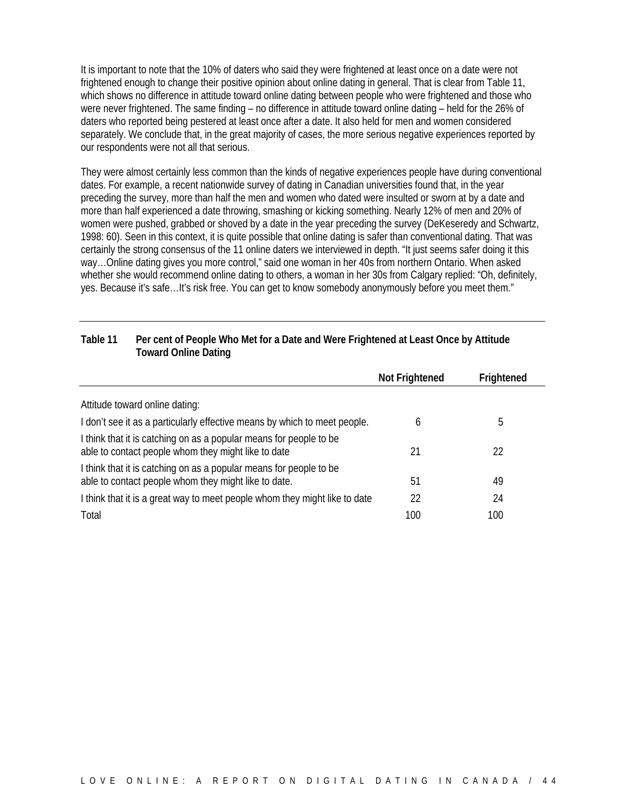It is important to note that the 10% of daters who said they were frightened at least once on a date were not frightened enough to change their positive opinion about online dating in general. That is clear from Table 11, which shows no difference in attitude toward online dating between people who were frightened and those who were never frightened. The same finding – no difference in attitude toward online dating – held for the 26% of daters who reported being pestered at least once after a date. It also held for men and women considered separately. We conclude that, in the great majority of cases, the more serious negative experiences reported by our respondents were not all that serious.

They were almost certainly less common than the kinds of negative experiences people have during conventional dates. For example, a recent nationwide survey of dating in Canadian universities found that, in the year preceding the survey, more than half the men and women who dated were insulted or sworn at by a date and more than half experienced a date throwing, smashing or kicking something. Nearly 12% of men and 20% of women were pushed, grabbed or shoved by a date in the year preceding the survey (DeKeseredy and Schwartz, 1998: 60). Seen in this context, it is quite possible that online dating is safer than conventional dating. That was certainly the strong consensus of the 11 online daters we interviewed in depth. "It just seems safer doing it this way…Online dating gives you more control," said one woman in her 40s from northern Ontario. When asked whether she would recommend online dating to others, a woman in her 30s from Calgary replied: "Oh, definitely, yes. Because it's safe…It's risk free. You can get to know somebody anonymously before you meet them."

#### **Table 11 Per cent of People Who Met for a Date and Were Frightened at Least Once by Attitude Toward Online Dating**

|                                                                                                                            | <b>Not Frightened</b> | Frightened |
|----------------------------------------------------------------------------------------------------------------------------|-----------------------|------------|
| Attitude toward online dating:                                                                                             |                       |            |
| I don't see it as a particularly effective means by which to meet people.                                                  | b                     | b          |
| I think that it is catching on as a popular means for people to be<br>able to contact people whom they might like to date  | 21                    | 22         |
| I think that it is catching on as a popular means for people to be<br>able to contact people whom they might like to date. | 51                    | 49         |
| I think that it is a great way to meet people whom they might like to date                                                 | 22                    | 24         |
| Total                                                                                                                      | 100                   | 100        |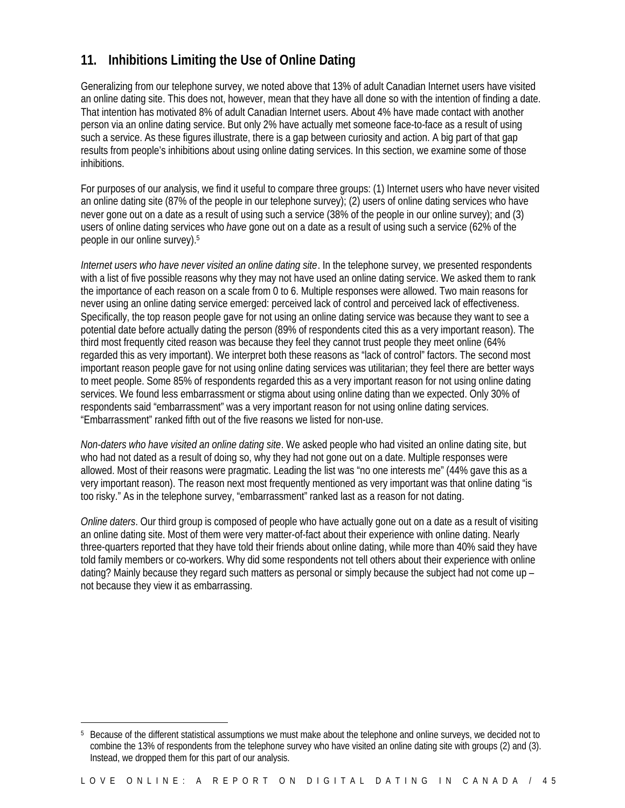### **11. Inhibitions Limiting the Use of Online Dating**

Generalizing from our telephone survey, we noted above that 13% of adult Canadian Internet users have visited an online dating site. This does not, however, mean that they have all done so with the intention of finding a date. That intention has motivated 8% of adult Canadian Internet users. About 4% have made contact with another person via an online dating service. But only 2% have actually met someone face-to-face as a result of using such a service. As these figures illustrate, there is a gap between curiosity and action. A big part of that gap results from people's inhibitions about using online dating services. In this section, we examine some of those inhibitions.

For purposes of our analysis, we find it useful to compare three groups: (1) Internet users who have never visited an online dating site (87% of the people in our telephone survey); (2) users of online dating services who have never gone out on a date as a result of using such a service (38% of the people in our online survey); and (3) users of online dating services who *have* gone out on a date as a result of using such a service (62% of the people in our online survey).<sup>5</sup>

*Internet users who have never visited an online dating site*. In the telephone survey, we presented respondents with a list of five possible reasons why they may not have used an online dating service. We asked them to rank the importance of each reason on a scale from 0 to 6. Multiple responses were allowed. Two main reasons for never using an online dating service emerged: perceived lack of control and perceived lack of effectiveness. Specifically, the top reason people gave for not using an online dating service was because they want to see a potential date before actually dating the person (89% of respondents cited this as a very important reason). The third most frequently cited reason was because they feel they cannot trust people they meet online (64% regarded this as very important). We interpret both these reasons as "lack of control" factors. The second most important reason people gave for not using online dating services was utilitarian; they feel there are better ways to meet people. Some 85% of respondents regarded this as a very important reason for not using online dating services. We found less embarrassment or stigma about using online dating than we expected. Only 30% of respondents said "embarrassment" was a very important reason for not using online dating services. "Embarrassment" ranked fifth out of the five reasons we listed for non-use.

*Non-daters who have visited an online dating site*. We asked people who had visited an online dating site, but who had not dated as a result of doing so, why they had not gone out on a date. Multiple responses were allowed. Most of their reasons were pragmatic. Leading the list was "no one interests me" (44% gave this as a very important reason). The reason next most frequently mentioned as very important was that online dating "is too risky." As in the telephone survey, "embarrassment" ranked last as a reason for not dating.

*Online daters*. Our third group is composed of people who have actually gone out on a date as a result of visiting an online dating site. Most of them were very matter-of-fact about their experience with online dating. Nearly three-quarters reported that they have told their friends about online dating, while more than 40% said they have told family members or co-workers. Why did some respondents not tell others about their experience with online dating? Mainly because they regard such matters as personal or simply because the subject had not come up – not because they view it as embarrassing.

 $\overline{a}$ 

<sup>5</sup> Because of the different statistical assumptions we must make about the telephone and online surveys, we decided not to combine the 13% of respondents from the telephone survey who have visited an online dating site with groups (2) and (3). Instead, we dropped them for this part of our analysis.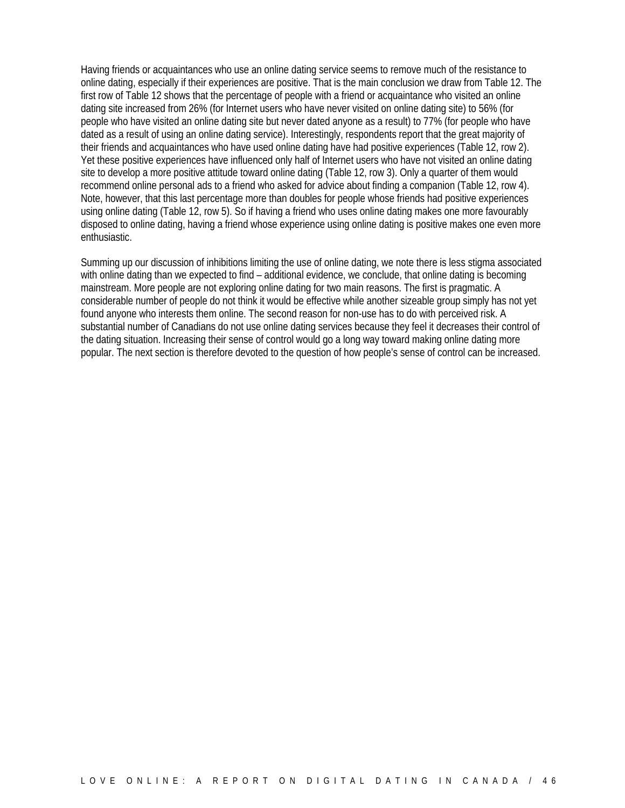Having friends or acquaintances who use an online dating service seems to remove much of the resistance to online dating, especially if their experiences are positive. That is the main conclusion we draw from Table 12. The first row of Table 12 shows that the percentage of people with a friend or acquaintance who visited an online dating site increased from 26% (for Internet users who have never visited on online dating site) to 56% (for people who have visited an online dating site but never dated anyone as a result) to 77% (for people who have dated as a result of using an online dating service). Interestingly, respondents report that the great majority of their friends and acquaintances who have used online dating have had positive experiences (Table 12, row 2). Yet these positive experiences have influenced only half of Internet users who have not visited an online dating site to develop a more positive attitude toward online dating (Table 12, row 3). Only a quarter of them would recommend online personal ads to a friend who asked for advice about finding a companion (Table 12, row 4). Note, however, that this last percentage more than doubles for people whose friends had positive experiences using online dating (Table 12, row 5). So if having a friend who uses online dating makes one more favourably disposed to online dating, having a friend whose experience using online dating is positive makes one even more enthusiastic.

Summing up our discussion of inhibitions limiting the use of online dating, we note there is less stigma associated with online dating than we expected to find – additional evidence, we conclude, that online dating is becoming mainstream. More people are not exploring online dating for two main reasons. The first is pragmatic. A considerable number of people do not think it would be effective while another sizeable group simply has not yet found anyone who interests them online. The second reason for non-use has to do with perceived risk. A substantial number of Canadians do not use online dating services because they feel it decreases their control of the dating situation. Increasing their sense of control would go a long way toward making online dating more popular. The next section is therefore devoted to the question of how people's sense of control can be increased.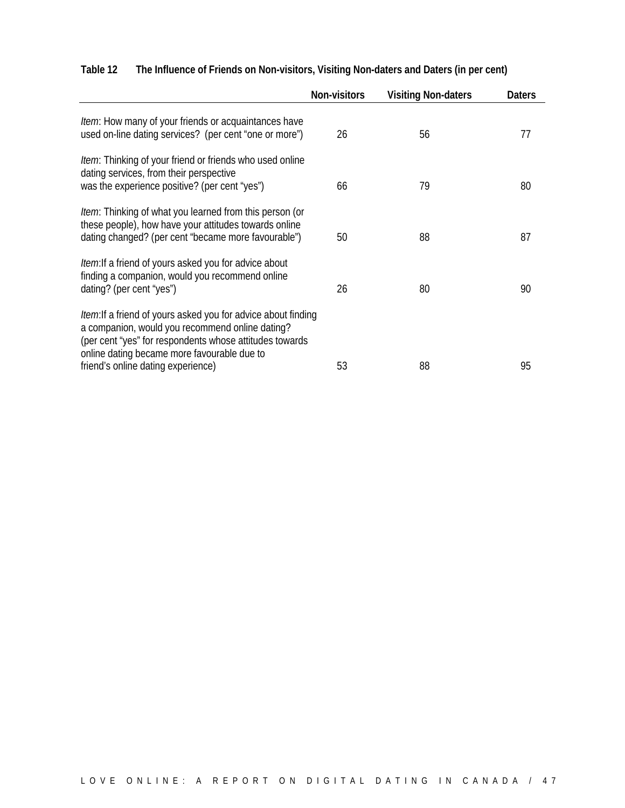|                                                                                                                                                                                                                                    | <b>Non-visitors</b> | <b>Visiting Non-daters</b> | <b>Daters</b> |
|------------------------------------------------------------------------------------------------------------------------------------------------------------------------------------------------------------------------------------|---------------------|----------------------------|---------------|
| <i>Item</i> : How many of your friends or acquaintances have<br>used on-line dating services? (per cent "one or more")                                                                                                             | 26                  | 56                         | 77            |
| <i>Item</i> : Thinking of your friend or friends who used online<br>dating services, from their perspective<br>was the experience positive? (per cent "yes")                                                                       | 66                  | 79                         | 80            |
| <i>Item</i> : Thinking of what you learned from this person (or<br>these people), how have your attitudes towards online<br>dating changed? (per cent "became more favourable")                                                    | 50                  | 88                         | 87            |
| <i>Item</i> : If a friend of yours asked you for advice about<br>finding a companion, would you recommend online<br>dating? (per cent "yes")                                                                                       | 26                  | 80                         | 90            |
| <i>Item</i> : If a friend of yours asked you for advice about finding<br>a companion, would you recommend online dating?<br>(per cent "yes" for respondents whose attitudes towards<br>online dating became more favourable due to |                     |                            |               |
| friend's online dating experience)                                                                                                                                                                                                 | 53                  | 88                         | 95            |

### **Table 12 The Influence of Friends on Non-visitors, Visiting Non-daters and Daters (in per cent)**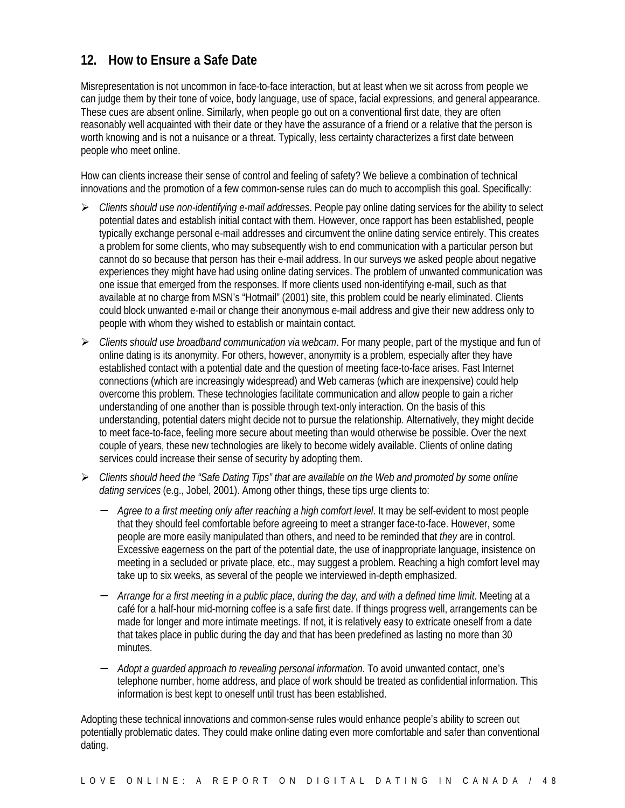### **12. How to Ensure a Safe Date**

Misrepresentation is not uncommon in face-to-face interaction, but at least when we sit across from people we can judge them by their tone of voice, body language, use of space, facial expressions, and general appearance. These cues are absent online. Similarly, when people go out on a conventional first date, they are often reasonably well acquainted with their date or they have the assurance of a friend or a relative that the person is worth knowing and is not a nuisance or a threat. Typically, less certainty characterizes a first date between people who meet online.

How can clients increase their sense of control and feeling of safety? We believe a combination of technical innovations and the promotion of a few common-sense rules can do much to accomplish this goal. Specifically:

- ÿ *Clients should use non-identifying e-mail addresses*. People pay online dating services for the ability to select potential dates and establish initial contact with them. However, once rapport has been established, people typically exchange personal e-mail addresses and circumvent the online dating service entirely. This creates a problem for some clients, who may subsequently wish to end communication with a particular person but cannot do so because that person has their e-mail address. In our surveys we asked people about negative experiences they might have had using online dating services. The problem of unwanted communication was one issue that emerged from the responses. If more clients used non-identifying e-mail, such as that available at no charge from MSN's "Hotmail" (2001) site, this problem could be nearly eliminated. Clients could block unwanted e-mail or change their anonymous e-mail address and give their new address only to people with whom they wished to establish or maintain contact.
- ÿ *Clients should use broadband communication via webcam*. For many people, part of the mystique and fun of online dating is its anonymity. For others, however, anonymity is a problem, especially after they have established contact with a potential date and the question of meeting face-to-face arises. Fast Internet connections (which are increasingly widespread) and Web cameras (which are inexpensive) could help overcome this problem. These technologies facilitate communication and allow people to gain a richer understanding of one another than is possible through text-only interaction. On the basis of this understanding, potential daters might decide not to pursue the relationship. Alternatively, they might decide to meet face-to-face, feeling more secure about meeting than would otherwise be possible. Over the next couple of years, these new technologies are likely to become widely available. Clients of online dating services could increase their sense of security by adopting them.
- ÿ *Clients should heed the "Safe Dating Tips" that are available on the Web and promoted by some online dating services* (e.g., Jobel, 2001). Among other things, these tips urge clients to:
	- − *Agree to a first meeting only after reaching a high comfort level*. It may be self-evident to most people that they should feel comfortable before agreeing to meet a stranger face-to-face. However, some people are more easily manipulated than others, and need to be reminded that *they* are in control. Excessive eagerness on the part of the potential date, the use of inappropriate language, insistence on meeting in a secluded or private place, etc., may suggest a problem. Reaching a high comfort level may take up to six weeks, as several of the people we interviewed in-depth emphasized.
	- − *Arrange for a first meeting in a public place, during the day, and with a defined time limit*. Meeting at a café for a half-hour mid-morning coffee is a safe first date. If things progress well, arrangements can be made for longer and more intimate meetings. If not, it is relatively easy to extricate oneself from a date that takes place in public during the day and that has been predefined as lasting no more than 30 minutes.
	- − *Adopt a guarded approach to revealing personal information*. To avoid unwanted contact, one's telephone number, home address, and place of work should be treated as confidential information. This information is best kept to oneself until trust has been established.

Adopting these technical innovations and common-sense rules would enhance people's ability to screen out potentially problematic dates. They could make online dating even more comfortable and safer than conventional dating.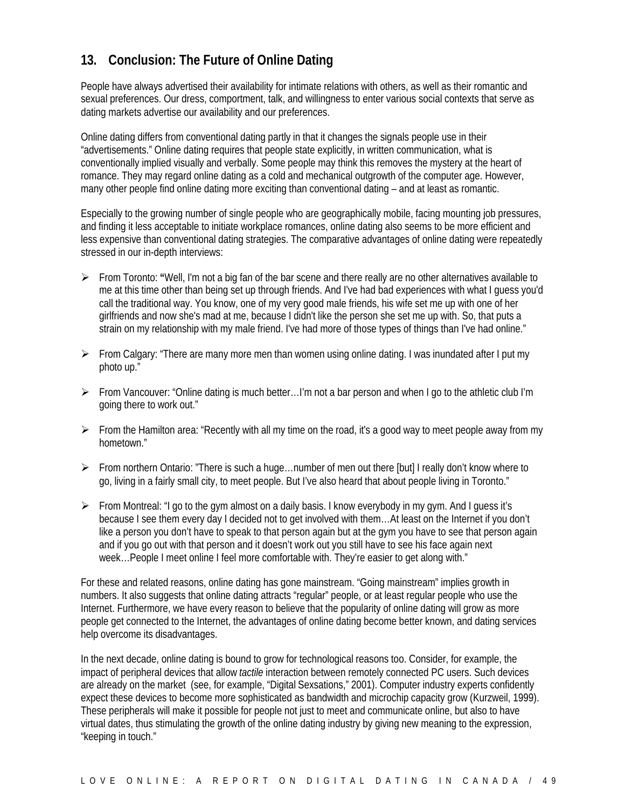### **13. Conclusion: The Future of Online Dating**

People have always advertised their availability for intimate relations with others, as well as their romantic and sexual preferences. Our dress, comportment, talk, and willingness to enter various social contexts that serve as dating markets advertise our availability and our preferences.

Online dating differs from conventional dating partly in that it changes the signals people use in their "advertisements." Online dating requires that people state explicitly, in written communication, what is conventionally implied visually and verbally. Some people may think this removes the mystery at the heart of romance. They may regard online dating as a cold and mechanical outgrowth of the computer age. However, many other people find online dating more exciting than conventional dating – and at least as romantic.

Especially to the growing number of single people who are geographically mobile, facing mounting job pressures, and finding it less acceptable to initiate workplace romances, online dating also seems to be more efficient and less expensive than conventional dating strategies. The comparative advantages of online dating were repeatedly stressed in our in-depth interviews:

- ÿ From Toronto: **"**Well, I'm not a big fan of the bar scene and there really are no other alternatives available to me at this time other than being set up through friends. And I've had bad experiences with what I guess you'd call the traditional way. You know, one of my very good male friends, his wife set me up with one of her girlfriends and now she's mad at me, because I didn't like the person she set me up with. So, that puts a strain on my relationship with my male friend. I've had more of those types of things than I've had online."
- $\triangleright$  From Calgary: "There are many more men than women using online dating. I was inundated after I put my photo up."
- ÿ From Vancouver: "Online dating is much better…I'm not a bar person and when I go to the athletic club I'm going there to work out."
- $\triangleright$  From the Hamilton area: "Recently with all my time on the road, it's a good way to meet people away from my hometown."
- $\triangleright$  From northern Ontario: "There is such a huge... number of men out there [but] I really don't know where to go, living in a fairly small city, to meet people. But I've also heard that about people living in Toronto."
- $\triangleright$  From Montreal: "I go to the gym almost on a daily basis. I know everybody in my gym. And I guess it's because I see them every day I decided not to get involved with them…At least on the Internet if you don't like a person you don't have to speak to that person again but at the gym you have to see that person again and if you go out with that person and it doesn't work out you still have to see his face again next week…People I meet online I feel more comfortable with. They're easier to get along with."

For these and related reasons, online dating has gone mainstream. "Going mainstream" implies growth in numbers. It also suggests that online dating attracts "regular" people, or at least regular people who use the Internet. Furthermore, we have every reason to believe that the popularity of online dating will grow as more people get connected to the Internet, the advantages of online dating become better known, and dating services help overcome its disadvantages.

In the next decade, online dating is bound to grow for technological reasons too. Consider, for example, the impact of peripheral devices that allow *tactile* interaction between remotely connected PC users. Such devices are already on the market (see, for example, "Digital Sexsations," 2001). Computer industry experts confidently expect these devices to become more sophisticated as bandwidth and microchip capacity grow (Kurzweil, 1999). These peripherals will make it possible for people not just to meet and communicate online, but also to have virtual dates, thus stimulating the growth of the online dating industry by giving new meaning to the expression, "keeping in touch."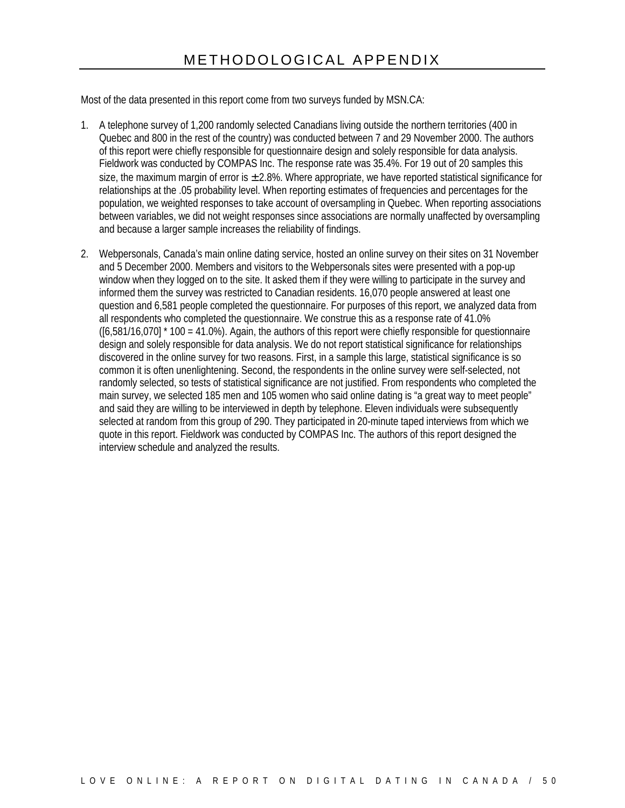Most of the data presented in this report come from two surveys funded by MSN.CA:

- 1. A telephone survey of 1,200 randomly selected Canadians living outside the northern territories (400 in Quebec and 800 in the rest of the country) was conducted between 7 and 29 November 2000. The authors of this report were chiefly responsible for questionnaire design and solely responsible for data analysis. Fieldwork was conducted by COMPAS Inc. The response rate was 35.4%. For 19 out of 20 samples this size, the maximum margin of error is  $\pm$  2.8%. Where appropriate, we have reported statistical significance for relationships at the .05 probability level. When reporting estimates of frequencies and percentages for the population, we weighted responses to take account of oversampling in Quebec. When reporting associations between variables, we did not weight responses since associations are normally unaffected by oversampling and because a larger sample increases the reliability of findings.
- 2. Webpersonals, Canada's main online dating service, hosted an online survey on their sites on 31 November and 5 December 2000. Members and visitors to the Webpersonals sites were presented with a pop-up window when they logged on to the site. It asked them if they were willing to participate in the survey and informed them the survey was restricted to Canadian residents. 16,070 people answered at least one question and 6,581 people completed the questionnaire. For purposes of this report, we analyzed data from all respondents who completed the questionnaire. We construe this as a response rate of 41.0%  $([6,581/16,070]$  \* 100 = 41.0%). Again, the authors of this report were chiefly responsible for questionnaire design and solely responsible for data analysis. We do not report statistical significance for relationships discovered in the online survey for two reasons. First, in a sample this large, statistical significance is so common it is often unenlightening. Second, the respondents in the online survey were self-selected, not randomly selected, so tests of statistical significance are not justified. From respondents who completed the main survey, we selected 185 men and 105 women who said online dating is "a great way to meet people" and said they are willing to be interviewed in depth by telephone. Eleven individuals were subsequently selected at random from this group of 290. They participated in 20-minute taped interviews from which we quote in this report. Fieldwork was conducted by COMPAS Inc. The authors of this report designed the interview schedule and analyzed the results.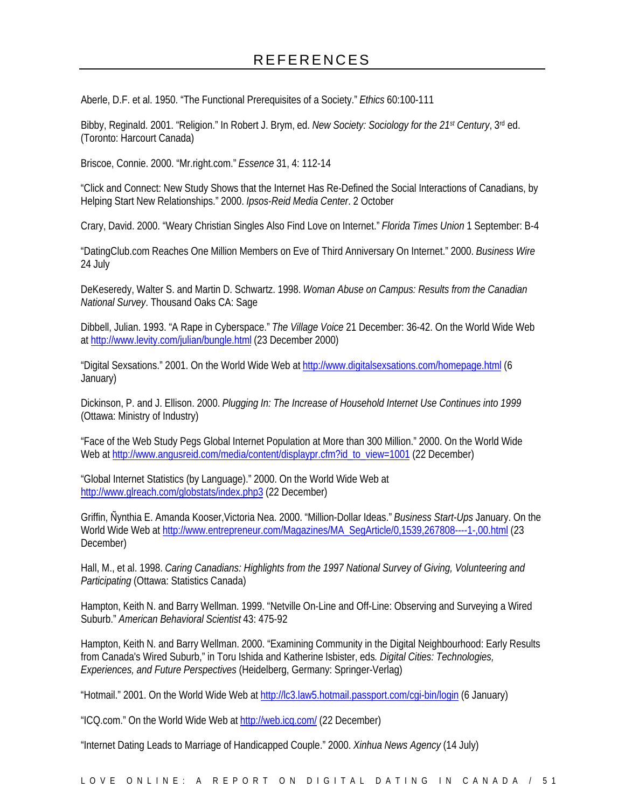Aberle, D.F. et al. 1950. "The Functional Prerequisites of a Society." *Ethics* 60:100-111

Bibby, Reginald. 2001. "Religion." In Robert J. Brym, ed. *New Society: Sociology for the 21st Century*, 3rd ed. (Toronto: Harcourt Canada)

Briscoe, Connie. 2000. "Mr.right.com." *Essence* 31, 4: 112-14

"Click and Connect: New Study Shows that the Internet Has Re-Defined the Social Interactions of Canadians, by Helping Start New Relationships." 2000. *Ipsos-Reid Media Center*. 2 October

Crary, David. 2000. "Weary Christian Singles Also Find Love on Internet." *Florida Times Union* 1 September: B-4

"DatingClub.com Reaches One Million Members on Eve of Third Anniversary On Internet." 2000. *Business Wire* 24 July

DeKeseredy, Walter S. and Martin D. Schwartz. 1998. *Woman Abuse on Campus: Results from the Canadian National Survey*. Thousand Oaks CA: Sage

Dibbell, Julian. 1993. "A Rape in Cyberspace." *The Village Voice* 21 December: 36-42. On the World Wide Web at http://www.levity.com/julian/bungle.html (23 December 2000)

"Digital Sexsations." 2001. On the World Wide Web at http://www.digitalsexsations.com/homepage.html (6 January)

Dickinson, P. and J. Ellison. 2000. *Plugging In: The Increase of Household Internet Use Continues into 1999* (Ottawa: Ministry of Industry)

"Face of the Web Study Pegs Global Internet Population at More than 300 Million." 2000. On the World Wide Web at http://www.angusreid.com/media/content/displaypr.cfm?id\_to\_view=1001 (22 December)

"Global Internet Statistics (by Language)." 2000. On the World Wide Web at http://www.glreach.com/globstats/index.php3 (22 December)

Griffin, Ñynthia E. Amanda Kooser,Victoria Nea. 2000. "Million-Dollar Ideas." *Business Start-Ups* January. On the World Wide Web at http://www.entrepreneur.com/Magazines/MA\_SegArticle/0,1539,267808----1-,00.html (23 December)

Hall, M., et al. 1998. *Caring Canadians: Highlights from the 1997 National Survey of Giving, Volunteering and Participating* (Ottawa: Statistics Canada)

Hampton, Keith N. and Barry Wellman. 1999. "Netville On-Line and Off-Line: Observing and Surveying a Wired Suburb." *American Behavioral Scientist* 43: 475-92

Hampton, Keith N. and Barry Wellman. 2000. "Examining Community in the Digital Neighbourhood: Early Results from Canada's Wired Suburb," in Toru Ishida and Katherine Isbister, eds*. Digital Cities: Technologies, Experiences, and Future Perspectives* (Heidelberg, Germany: Springer-Verlag)

"Hotmail." 2001. On the World Wide Web at http://lc3.law5.hotmail.passport.com/cgi-bin/login (6 January)

"ICQ.com." On the World Wide Web at http://web.icq.com/ (22 December)

"Internet Dating Leads to Marriage of Handicapped Couple." 2000. *Xinhua News Agency* (14 July)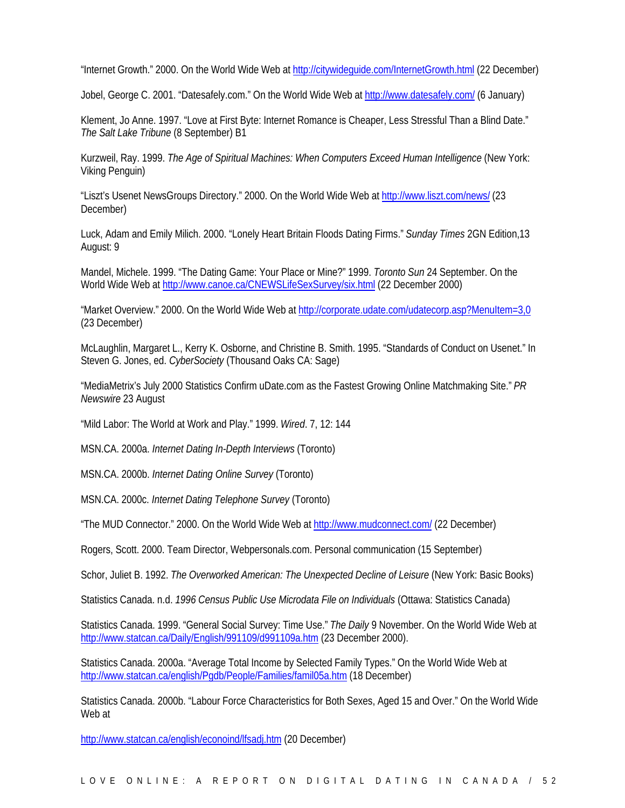"Internet Growth." 2000. On the World Wide Web at http://citywideguide.com/InternetGrowth.html (22 December)

Jobel, George C. 2001. "Datesafely.com." On the World Wide Web at http://www.datesafely.com/ (6 January)

Klement, Jo Anne. 1997. "Love at First Byte: Internet Romance is Cheaper, Less Stressful Than a Blind Date." *The Salt Lake Tribune* (8 September) B1

Kurzweil, Ray. 1999. *The Age of Spiritual Machines: When Computers Exceed Human Intelligence* (New York: Viking Penguin)

"Liszt's Usenet NewsGroups Directory." 2000. On the World Wide Web at http://www.liszt.com/news/ (23 December)

Luck, Adam and Emily Milich. 2000. "Lonely Heart Britain Floods Dating Firms." *Sunday Times* 2GN Edition,13 August: 9

Mandel, Michele. 1999. "The Dating Game: Your Place or Mine?" 1999. *Toronto Sun* 24 September. On the World Wide Web at http://www.canoe.ca/CNEWSLifeSexSurvey/six.html (22 December 2000)

"Market Overview." 2000. On the World Wide Web at http://corporate.udate.com/udatecorp.asp?MenuItem=3,0 (23 December)

McLaughlin, Margaret L., Kerry K. Osborne, and Christine B. Smith. 1995. "Standards of Conduct on Usenet." In Steven G. Jones, ed. *CyberSociety* (Thousand Oaks CA: Sage)

"MediaMetrix's July 2000 Statistics Confirm uDate.com as the Fastest Growing Online Matchmaking Site." *PR Newswire* 23 August

"Mild Labor: The World at Work and Play." 1999. *Wired*. 7, 12: 144

MSN.CA. 2000a. *Internet Dating In-Depth Interviews* (Toronto)

MSN.CA. 2000b. *Internet Dating Online Survey* (Toronto)

MSN.CA. 2000c. *Internet Dating Telephone Survey* (Toronto)

"The MUD Connector." 2000. On the World Wide Web at http://www.mudconnect.com/ (22 December)

Rogers, Scott. 2000. Team Director, Webpersonals.com. Personal communication (15 September)

Schor, Juliet B. 1992. *The Overworked American: The Unexpected Decline of Leisure* (New York: Basic Books)

Statistics Canada. n.d. *1996 Census Public Use Microdata File on Individuals* (Ottawa: Statistics Canada)

Statistics Canada. 1999. "General Social Survey: Time Use." *The Daily* 9 November. On the World Wide Web at http://www.statcan.ca/Daily/English/991109/d991109a.htm (23 December 2000).

Statistics Canada. 2000a. "Average Total Income by Selected Family Types." On the World Wide Web at http://www.statcan.ca/english/Pgdb/People/Families/famil05a.htm (18 December)

Statistics Canada. 2000b. "Labour Force Characteristics for Both Sexes, Aged 15 and Over." On the World Wide Web at

http://www.statcan.ca/english/econoind/lfsadj.htm (20 December)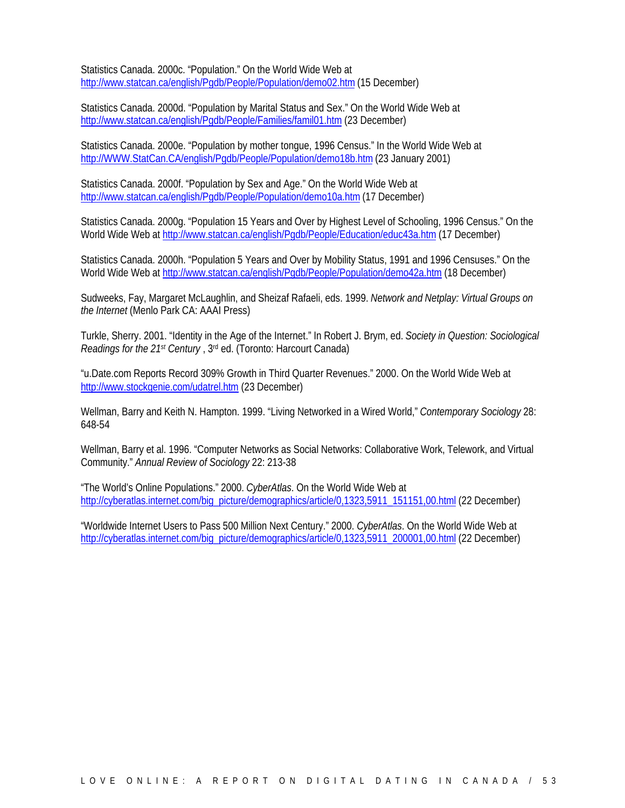Statistics Canada. 2000c. "Population." On the World Wide Web at http://www.statcan.ca/english/Pgdb/People/Population/demo02.htm (15 December)

Statistics Canada. 2000d. "Population by Marital Status and Sex." On the World Wide Web at http://www.statcan.ca/english/Pgdb/People/Families/famil01.htm (23 December)

Statistics Canada. 2000e. "Population by mother tongue, 1996 Census." In the World Wide Web at http://WWW.StatCan.CA/english/Pgdb/People/Population/demo18b.htm (23 January 2001)

Statistics Canada. 2000f. "Population by Sex and Age." On the World Wide Web at http://www.statcan.ca/english/Pgdb/People/Population/demo10a.htm (17 December)

Statistics Canada. 2000g. "Population 15 Years and Over by Highest Level of Schooling, 1996 Census." On the World Wide Web at http://www.statcan.ca/english/Pgdb/People/Education/educ43a.htm (17 December)

Statistics Canada. 2000h. "Population 5 Years and Over by Mobility Status, 1991 and 1996 Censuses." On the World Wide Web at http://www.statcan.ca/english/Pgdb/People/Population/demo42a.htm (18 December)

Sudweeks, Fay, Margaret McLaughlin, and Sheizaf Rafaeli, eds. 1999. *Network and Netplay: Virtual Groups on the Internet* (Menlo Park CA: AAAI Press)

Turkle, Sherry. 2001. "Identity in the Age of the Internet." In Robert J. Brym, ed. *Society in Question: Sociological Readings for the 21st Century* , 3rd ed. (Toronto: Harcourt Canada)

"u.Date.com Reports Record 309% Growth in Third Quarter Revenues." 2000. On the World Wide Web at http://www.stockgenie.com/udatrel.htm (23 December)

Wellman, Barry and Keith N. Hampton. 1999. "Living Networked in a Wired World," *Contemporary Sociology* 28: 648-54

Wellman, Barry et al. 1996. "Computer Networks as Social Networks: Collaborative Work, Telework, and Virtual Community." *Annual Review of Sociology* 22: 213-38

"The World's Online Populations." 2000. *CyberAtlas*. On the World Wide Web at http://cyberatlas.internet.com/big\_picture/demographics/article/0,1323,5911\_151151,00.html (22 December)

"Worldwide Internet Users to Pass 500 Million Next Century." 2000. *CyberAtlas*. On the World Wide Web at http://cyberatlas.internet.com/big\_picture/demographics/article/0,1323,5911\_200001,00.html (22 December)